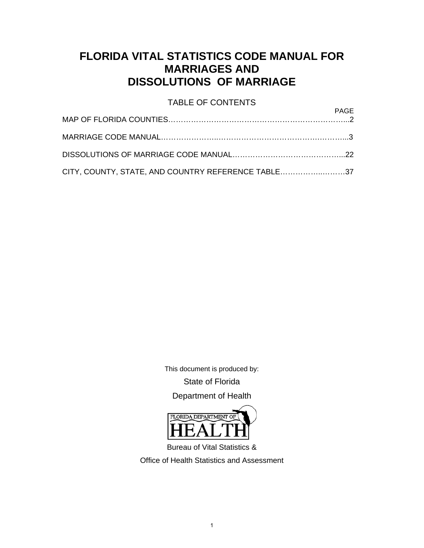#### **FLORIDA VITAL STATISTICS CODE MANUAL FOR MARRIAGES AND DISSOLUTIONS OF MARRIAGE**

# TABLE OF CONTENTS

|                                                    | FAUL |
|----------------------------------------------------|------|
|                                                    |      |
|                                                    |      |
| CITY, COUNTY, STATE, AND COUNTRY REFERENCE TABLE37 |      |

This document is produced by:

State of Florida

Department of Health



Bureau of Vital Statistics &

Office of Health Statistics and Assessment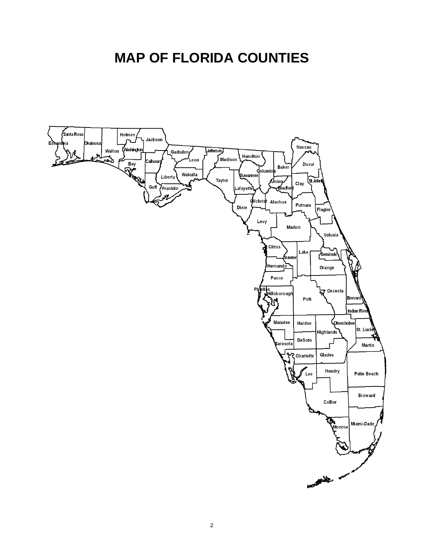# **MAP OF FLORIDA COUNTIES**

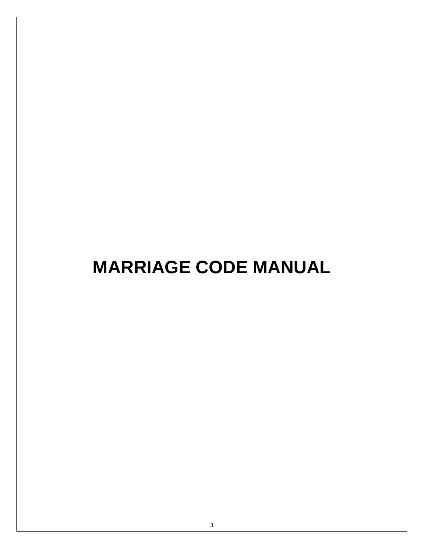# **MARRIAGE CODE MANUAL**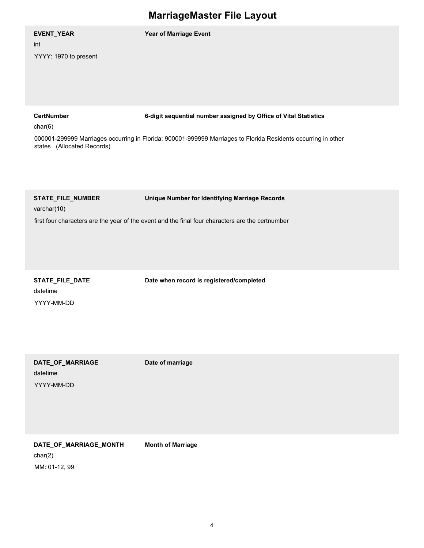| EVENT_YEAR<br>int<br>YYYY: 1970 to present                 | Year of Marriage Event                                                                                                                                                            |
|------------------------------------------------------------|-----------------------------------------------------------------------------------------------------------------------------------------------------------------------------------|
| <b>CertNumber</b><br>char(6)<br>states (Allocated Records) | 6-digit sequential number assigned by Office of Vital Statistics<br>000001-299999 Marriages occurring in Florida; 900001-999999 Marriages to Florida Residents occurring in other |
| STATE_FILE_NUMBER<br>varchar(10)                           | Unique Number for Identifying Marriage Records<br>first four characters are the year of the event and the final four characters are the certnumber                                |

datetime YYYY-MM-DD

**STATE\_FILE\_DATE Date when record is registered/completed**

datetime **DATE\_OF\_MARRIAGE Date of marriage**

YYYY-MM-DD

char(2) **DATE\_OF\_MARRIAGE\_MONTH Month of Marriage** MM: 01-12, 99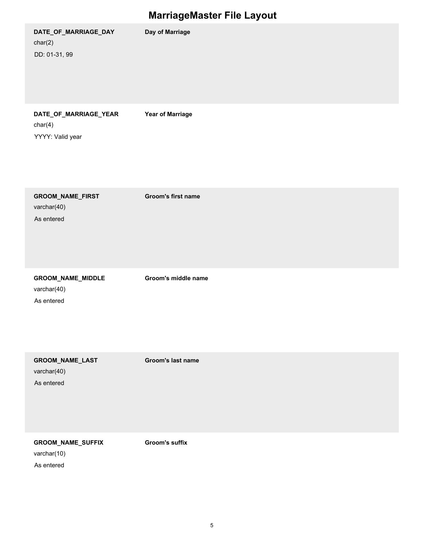|                                                      | $\tilde{\phantom{a}}$   |
|------------------------------------------------------|-------------------------|
| DATE_OF_MARRIAGE_DAY<br>char(2)<br>DD: 01-31, 99     | Day of Marriage         |
| DATE_OF_MARRIAGE_YEAR<br>char(4)<br>YYYY: Valid year | <b>Year of Marriage</b> |
| GROOM_NAME_FIRST<br>varchar(40)<br>As entered        | Groom's first name      |
| GROOM_NAME_MIDDLE<br>varchar(40)<br>As entered       | Groom's middle name     |
| GROOM_NAME_LAST<br>varchar(40)<br>As entered         | Groom's last name       |
| <b>GROOM_NAME_SUFFIX</b><br>varchar(10)              | Groom's suffix          |

As entered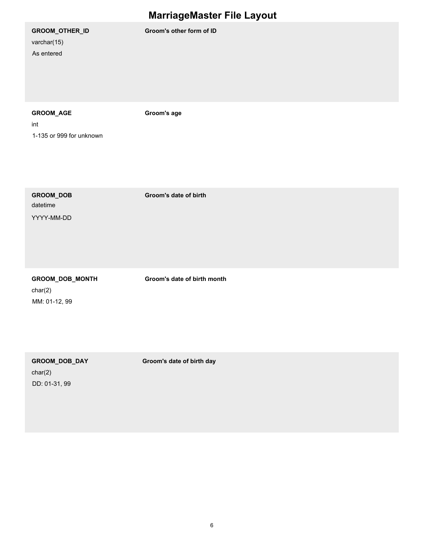varchar(15) As entered

**GROOM\_OTHER\_ID Groom's other form of ID**

#### **GROOM\_AGE Groom's age**

int 1-135 or 999 for unknown

datetime YYYY-MM-DD

**GROOM\_DOB Groom's date of birth**

**GROOM\_DOB\_MONTH Groom's date of birth month**

char(2) MM: 01-12, 99

**GROOM\_DOB\_DAY Groom's date of birth day**

char(2) DD: 01-31, 99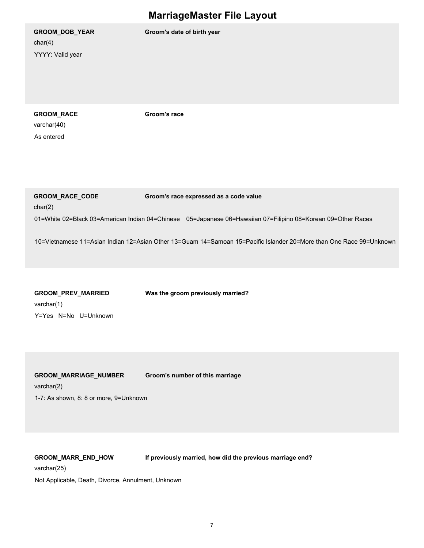char(4) YYYY: Valid year

**GROOM\_DOB\_YEAR Groom's date of birth year**

**GROOM\_RACE Groom's race**

varchar(40) As entered

**GROOM\_RACE\_CODE Groom's race expressed as a code value**

char(2)

01=White 02=Black 03=American Indian 04=Chinese
05=Japanese 06=Hawaiian 07=Filipino 08=Korean 09=Other Races

10=Vietnamese 11=Asian Indian 12=Asian Other 13=Guam 14=Samoan 15=Pacific Islander 20=More than One Race 99=Unknown

| <b>GROOM PREV MARRIED</b> | Was the groom previously married? |
|---------------------------|-----------------------------------|
| varchar(1)                |                                   |
| Y=Yes N=No U=Unknown      |                                   |

varchar(2) **GROOM\_MARRIAGE\_NUMBER Groom's number of this marriage** 1-7: As shown, 8: 8 or more, 9=Unknown

**GROOM\_MARR\_END\_HOW If previously married, how did the previous marriage end?**

varchar(25)

Not Applicable, Death, Divorce, Annulment, Unknown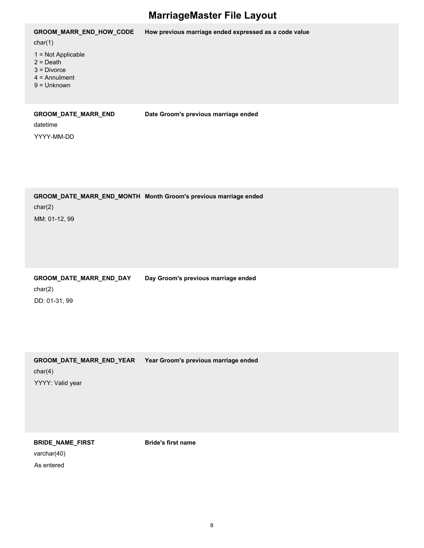| <b>GROOM MARR END HOW CODE</b>                                                           | How previous marriage ended expressed as a code value |
|------------------------------------------------------------------------------------------|-------------------------------------------------------|
| char(1)                                                                                  |                                                       |
| $1 = Not Applicable$<br>$2 = Death$<br>$3$ = Divorce<br>$4 =$ Annulment<br>$9 =$ Unknown |                                                       |
| <b>GROOM DATE MARR END</b><br>datetime                                                   | Date Groom's previous marriage ended                  |

YYYY-MM-DD

char(2) **GROOM\_DATE\_MARR\_END\_MONTH Month Groom's previous marriage ended** MM: 01-12, 99

**GROOM\_DATE\_MARR\_END\_DAY Day Groom's previous marriage ended**

char(2) DD: 01-31, 99

char(4) **GROOM\_DATE\_MARR\_END\_YEAR Year Groom's previous marriage ended** YYYY: Valid year

**BRIDE\_NAME\_FIRST Bride's first name**

varchar(40) As entered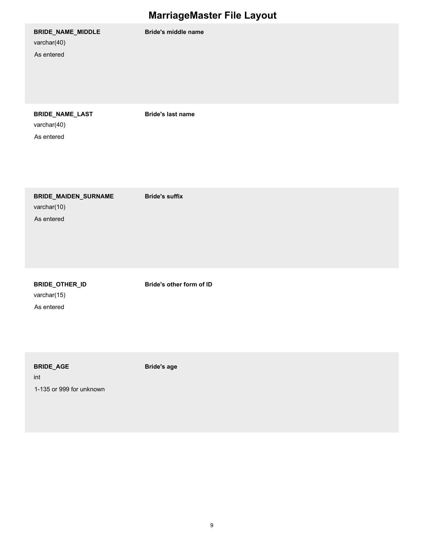|                                                   | $\tilde{\phantom{a}}$      |
|---------------------------------------------------|----------------------------|
| BRIDE_NAME_MIDDLE<br>varchar(40)<br>As entered    | <b>Bride's middle name</b> |
| BRIDE_NAME_LAST<br>varchar(40)<br>As entered      | <b>Bride's last name</b>   |
| BRIDE_MAIDEN_SURNAME<br>varchar(10)<br>As entered | <b>Bride's suffix</b>      |
| BRIDE_OTHER_ID<br>varchar(15)<br>As entered       | Bride's other form of ID   |

**BRIDE\_AGE Bride's age**

int 1-135 or 999 for unknown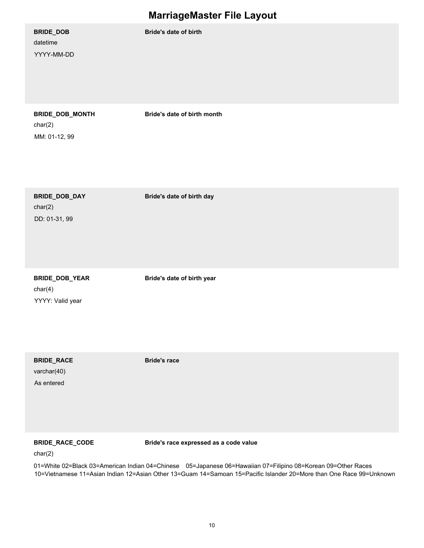| BRIDE_DOB<br>datetime<br>YYYY-MM-DD           | Bride's date of birth       |
|-----------------------------------------------|-----------------------------|
| BRIDE_DOB_MONTH<br>char(2)<br>MM: 01-12, 99   | Bride's date of birth month |
| BRIDE_DOB_DAY<br>char(2)<br>DD: 01-31, 99     | Bride's date of birth day   |
| BRIDE_DOB_YEAR<br>char(4)<br>YYYY: Valid year | Bride's date of birth year  |

varchar(40) **BRIDE\_RACE Bride's race**

As entered

**BRIDE\_RACE\_CODE Bride's race expressed as a code value**

char(2)

01=White 02=Black 03=American Indian 04=Chinese
05=Japanese 06=Hawaiian 07=Filipino 08=Korean 09=Other Races 10=Vietnamese 11=Asian Indian 12=Asian Other 13=Guam 14=Samoan 15=Pacific Islander 20=More than One Race 99=Unknown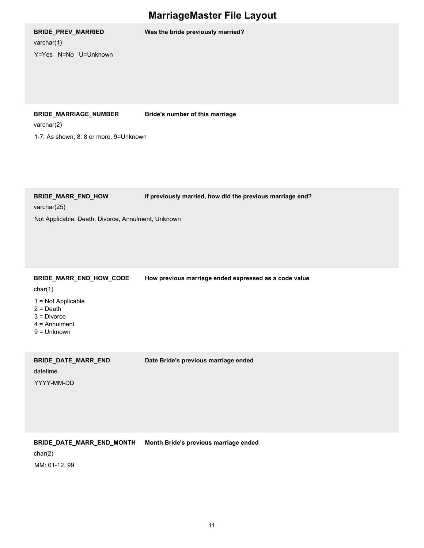**BRIDE\_PREV\_MARRIED Was the bride previously married?**

varchar(1)

Y=Yes N=No U=Unknown

#### **BRIDE\_MARRIAGE\_NUMBER Bride's number of this marriage**

varchar(2)

1-7: As shown, 8: 8 or more, 9=Unknown

**BRIDE\_MARR\_END\_HOW If previously married, how did the previous marriage end?**

varchar(25)

Not Applicable, Death, Divorce, Annulment, Unknown

**BRIDE\_MARR\_END\_HOW\_CODE How previous marriage ended expressed as a code value**

char(1)

- 1 = Not Applicable
- $2 =$  Death
- 3 = Divorce
- 4 = Annulment
- 9 = Unknown

**BRIDE\_DATE\_MARR\_END Date Bride's previous marriage ended**

datetime

YYYY-MM-DD

#### **BRIDE\_DATE\_MARR\_END\_MONTH Month Bride's previous marriage ended**

char(2)

MM: 01-12, 99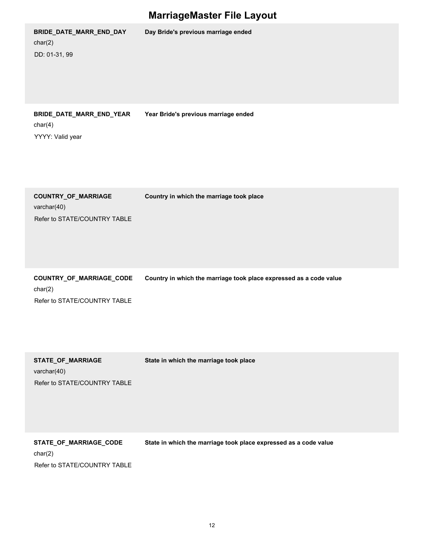| BRIDE_DATE_MARR_END_DAY<br>char(2)<br>DD: 01-31, 99                 | Day Bride's previous marriage ended                                |
|---------------------------------------------------------------------|--------------------------------------------------------------------|
| BRIDE_DATE_MARR_END_YEAR<br>char(4)<br>YYYY: Valid year             | Year Bride's previous marriage ended                               |
| COUNTRY_OF_MARRIAGE<br>varchar(40)<br>Refer to STATE/COUNTRY TABLE  | Country in which the marriage took place                           |
| COUNTRY_OF_MARRIAGE_CODE<br>char(2)<br>Refer to STATE/COUNTRY TABLE | Country in which the marriage took place expressed as a code value |
| STATE_OF_MARRIAGE<br>varchar(40)<br>Refer to STATE/COUNTRY TABLE    | State in which the marriage took place                             |

char(2) **STATE\_OF\_MARRIAGE\_CODE State in which the marriage took place expressed as a code value** Refer to STATE/COUNTRY TABLE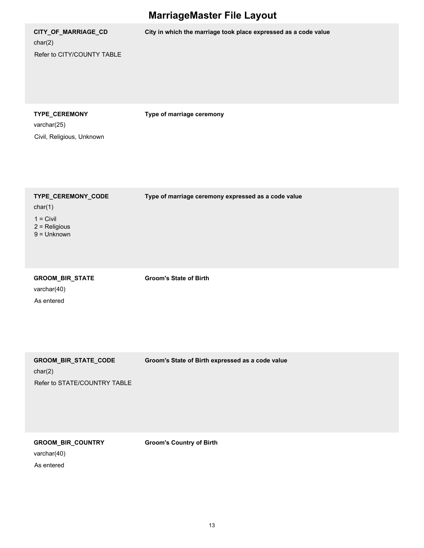| <b>MarriageMaster File Layout</b>                                                |                                                                 |  |
|----------------------------------------------------------------------------------|-----------------------------------------------------------------|--|
| CITY_OF_MARRIAGE_CD<br>char(2)<br>Refer to CITY/COUNTY TABLE                     | City in which the marriage took place expressed as a code value |  |
| TYPE_CEREMONY<br>varchar(25)<br>Civil, Religious, Unknown                        | Type of marriage ceremony                                       |  |
| TYPE_CEREMONY_CODE<br>char(1)<br>$1 = Civil$<br>$2$ = Religious<br>$9 =$ Unknown | Type of marriage ceremony expressed as a code value             |  |
| GROOM_BIR_STATE<br>varchar(40)<br>As entered                                     | <b>Groom's State of Birth</b>                                   |  |
| GROOM_BIR_STATE_CODE<br>char(2)<br>Refer to STATE/COUNTRY TABLE                  | Groom's State of Birth expressed as a code value                |  |

**GROOM\_BIR\_COUNTRY Groom's Country of Birth**

varchar(40)

As entered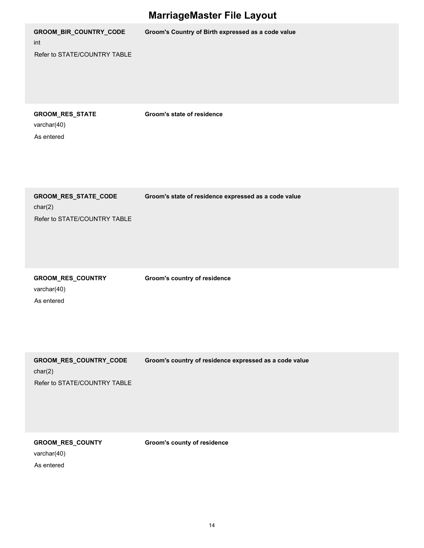|                                                                   | <b>MarriageMaster File Layout</b>                      |  |  |
|-------------------------------------------------------------------|--------------------------------------------------------|--|--|
| GROOM_BIR_COUNTRY_CODE<br>int<br>Refer to STATE/COUNTRY TABLE     | Groom's Country of Birth expressed as a code value     |  |  |
| GROOM_RES_STATE<br>varchar(40)<br>As entered                      | Groom's state of residence                             |  |  |
| GROOM_RES_STATE_CODE<br>char(2)<br>Refer to STATE/COUNTRY TABLE   | Groom's state of residence expressed as a code value   |  |  |
| GROOM_RES_COUNTRY<br>varchar(40)<br>As entered                    | <b>Groom's country of residence</b>                    |  |  |
| GROOM_RES_COUNTRY_CODE<br>char(2)<br>Refer to STATE/COUNTRY TABLE | Groom's country of residence expressed as a code value |  |  |

**GROOM\_RES\_COUNTY Groom's county of residence**

varchar(40)

As entered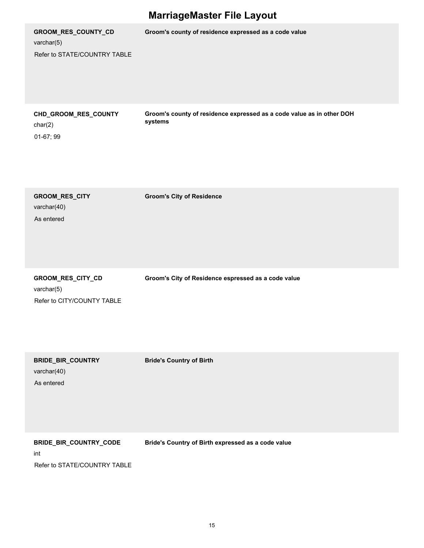| <b>MarriageMaster File Layout</b>                                 |                                                                                  |  |
|-------------------------------------------------------------------|----------------------------------------------------------------------------------|--|
| GROOM_RES_COUNTY_CD<br>varchar(5)<br>Refer to STATE/COUNTRY TABLE | Groom's county of residence expressed as a code value                            |  |
| CHD_GROOM_RES_COUNTY<br>char(2)<br>01-67; 99                      | Groom's county of residence expressed as a code value as in other DOH<br>systems |  |
| GROOM_RES_CITY<br>varchar(40)<br>As entered                       | <b>Groom's City of Residence</b>                                                 |  |
| GROOM_RES_CITY_CD<br>varchar $(5)$<br>Refer to CITY/COUNTY TABLE  | Groom's City of Residence espressed as a code value                              |  |
| <b>BRIDE_BIR_COUNTRY</b><br>varchar(40)<br>As entered             | <b>Bride's Country of Birth</b>                                                  |  |
| BRIDE_BIR_COUNTRY_CODE<br>int                                     | Bride's Country of Birth expressed as a code value                               |  |

Refer to STATE/COUNTRY TABLE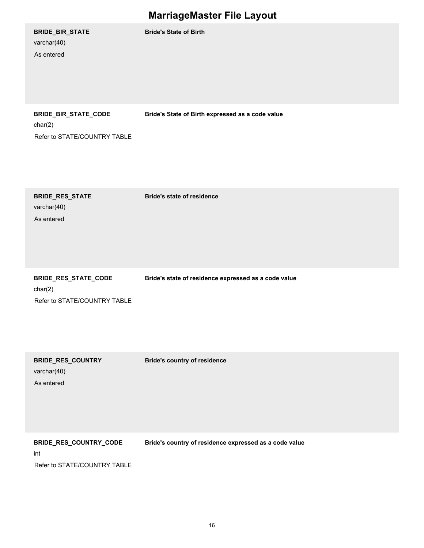| BRIDE_BIR_STATE<br>varchar(40)<br>As entered                    | <b>Bride's State of Birth</b>                        |
|-----------------------------------------------------------------|------------------------------------------------------|
| BRIDE_BIR_STATE_CODE<br>char(2)<br>Refer to STATE/COUNTRY TABLE | Bride's State of Birth expressed as a code value     |
| <b>BRIDE_RES_STATE</b><br>varchar(40)<br>As entered             | <b>Bride's state of residence</b>                    |
| BRIDE_RES_STATE_CODE<br>char(2)                                 | Bride's state of residence expressed as a code value |

Refer to STATE/COUNTRY TABLE

**BRIDE\_RES\_COUNTRY Bride's country of residence**

varchar(40)

As entered

**BRIDE\_RES\_COUNTRY\_CODE Bride's country of residence expressed as a code value**

int

Refer to STATE/COUNTRY TABLE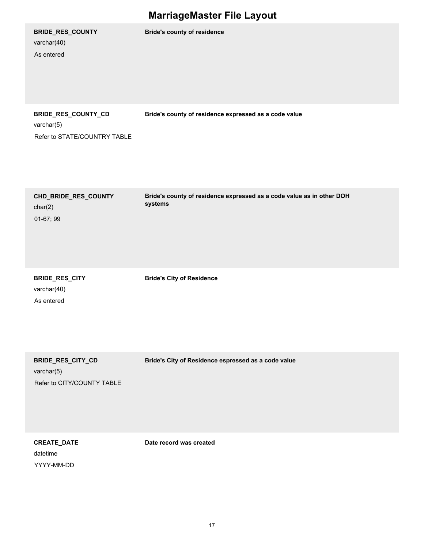| <b>BRIDE_RES_COUNTY</b><br>varchar(40)<br>As entered              | <b>Bride's county of residence</b>                                               |
|-------------------------------------------------------------------|----------------------------------------------------------------------------------|
| BRIDE_RES_COUNTY_CD<br>varchar(5)<br>Refer to STATE/COUNTRY TABLE | Bride's county of residence expressed as a code value                            |
| CHD_BRIDE_RES_COUNTY<br>char(2)<br>01-67; 99                      | Bride's county of residence expressed as a code value as in other DOH<br>systems |
| BRIDE_RES_CITY<br>varchar(40)                                     | <b>Bride's City of Residence</b>                                                 |

As entered

varchar(5) Refer to CITY/COUNTY TABLE

**BRIDE\_RES\_CITY\_CD Bride's City of Residence espressed as a code value**

datetime YYYY-MM-DD

**CREATE\_DATE Date record was created**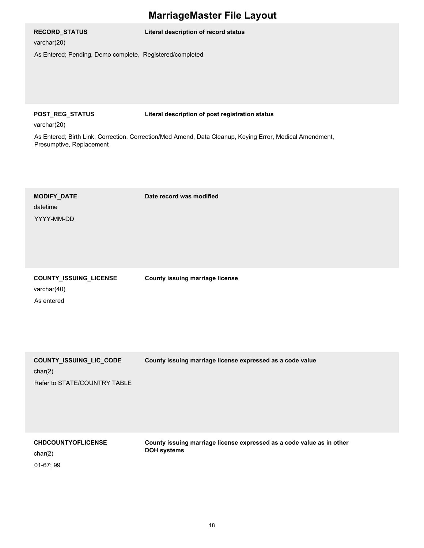#### **RECORD\_STATUS Literal description of record status**

varchar(20)

As Entered; Pending, Demo complete, Registered/completed

**POST\_REG\_STATUS Literal description of post registration status**

varchar(20)

As Entered; Birth Link, Correction, Correction/Med Amend, Data Cleanup, Keying Error, Medical Amendment, Presumptive, Replacement

# datetime **MODIFY\_DATE Date record was modified** YYYY-MM-DD varchar(40) **COUNTY\_ISSUING\_LICENSE County issuing marriage license**

As entered

**COUNTY\_ISSUING\_LIC\_CODE County issuing marriage license expressed as a code value**

char(2)

Refer to STATE/COUNTRY TABLE

**CHDCOUNTYOFLICENSE County issuing marriage license expressed as a code value as in other DOH systems**

char(2) 01-67; 99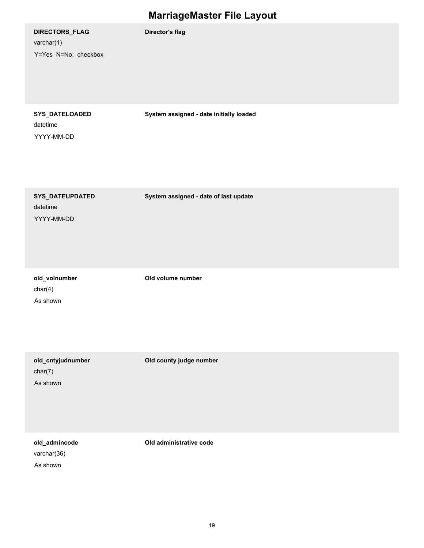| DIRECTORS_FLAG<br>varchar(1)<br>Y=Yes N=No; checkbox | <b>Director's flag</b>                  |
|------------------------------------------------------|-----------------------------------------|
| SYS_DATELOADED<br>datetime<br>YYYY-MM-DD             | System assigned - date initially loaded |
| SYS_DATEUPDATED<br>datetime<br>YYYY-MM-DD            | System assigned - date of last update   |
| old_volnumber<br>char(4)<br>As shown                 | Old volume number                       |
| old_cntyjudnumber<br>char(7)<br>As shown             | Old county judge number                 |

varchar(36) **old\_admincode Old administrative code**

As shown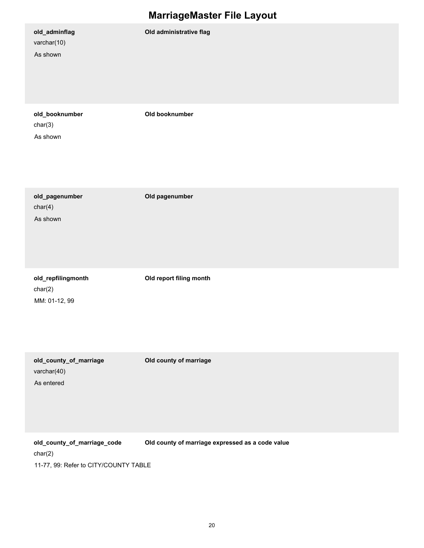|                                                     | marragemascor i no Eujouc                        |
|-----------------------------------------------------|--------------------------------------------------|
| old_adminflag<br>varchar(10)<br>As shown            | Old administrative flag                          |
| old_booknumber<br>char(3)<br>As shown               | Old booknumber                                   |
| old_pagenumber<br>char(4)<br>As shown               | Old pagenumber                                   |
| old_repfilingmonth<br>char(2)<br>MM: 01-12, 99      | Old report filing month                          |
| old_county_of_marriage<br>varchar(40)<br>As entered | Old county of marriage                           |
| old_county_of_marriage_code                         | Old county of marriage expressed as a code value |

char(2) 11-77, 99: Refer to CITY/COUNTY TABLE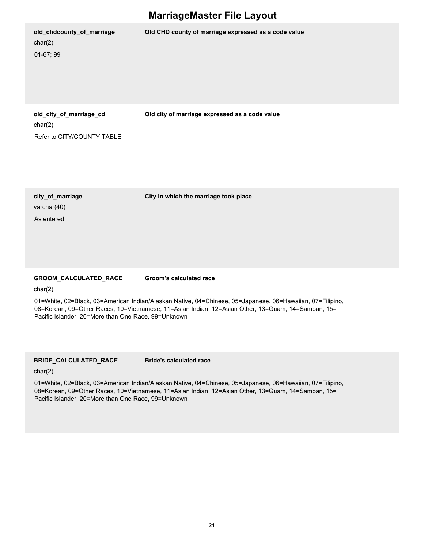| old_chdcounty_of_marriage<br>char(2)<br>$01-67;99$               | Old CHD county of marriage expressed as a code value |
|------------------------------------------------------------------|------------------------------------------------------|
| old_city_of_marriage_cd<br>char(2)<br>Refer to CITY/COUNTY TABLE | Old city of marriage expressed as a code value       |

varchar(40) As entered

**city\_of\_marriage City in which the marriage took place**

#### **GROOM\_CALCULATED\_RACE Groom's calculated race**

char(2)

01=White, 02=Black, 03=American Indian/Alaskan Native, 04=Chinese, 05=Japanese, 06=Hawaiian, 07=Filipino, 08=Korean, 09=Other Races, 10=Vietnamese, 11=Asian Indian, 12=Asian Other, 13=Guam, 14=Samoan, 15= Pacific Islander, 20=More than One Race, 99=Unknown

#### **BRIDE\_CALCULATED\_RACE Bride's calculated race**

char(2)

01=White, 02=Black, 03=American Indian/Alaskan Native, 04=Chinese, 05=Japanese, 06=Hawaiian, 07=Filipino, 08=Korean, 09=Other Races, 10=Vietnamese, 11=Asian Indian, 12=Asian Other, 13=Guam, 14=Samoan, 15= Pacific Islander, 20=More than One Race, 99=Unknown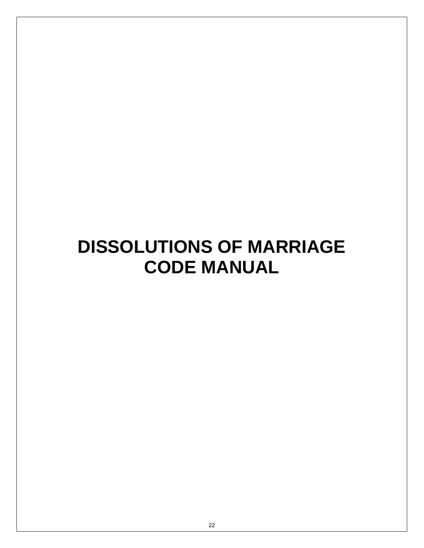# **DISSOLUTIONS OF MARRIAGE CODE MANUAL**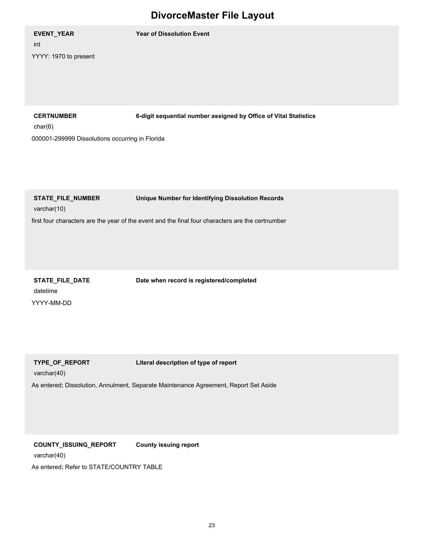int YYYY: 1970 to present

**EVENT\_YEAR Year of Dissolution Event**

**CERTNUMBER 6-digit sequential number assigned by Office of Vital Statistics**

char(6)

000001-299999 Dissolutions occurring in Florida

**STATE\_FILE\_NUMBER Unique Number for Identifying Dissolution Records**

varchar(10)

first four characters are the year of the event and the final four characters are the certnumber

datetime **STATE\_FILE\_DATE Date when record is registered/completed** YYYY-MM-DD

**TYPE\_OF\_REPORT Literal description of type of report**

varchar(40)

As entered; Dissolution, Annulment, Separate Maintenance Agreement, Report Set Aside

**COUNTY\_ISSUING\_REPORT County issuing report**

varchar(40)

As entered; Refer to STATE/COUNTRY TABLE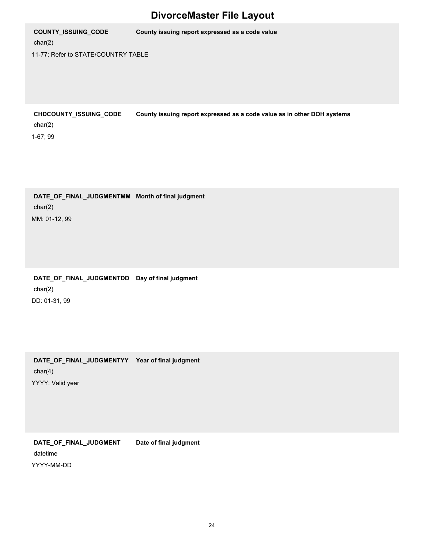char(2) **COUNTY\_ISSUING\_CODE County issuing report expressed as a code value** 11-77; Refer to STATE/COUNTRY TABLE

char(2) **CHDCOUNTY\_ISSUING\_CODE County issuing report expressed as a code value as in other DOH systems** 1-67; 99

char(2) **DATE\_OF\_FINAL\_JUDGMENTMM Month of final judgment** MM: 01-12, 99

char(2) **DATE\_OF\_FINAL\_JUDGMENTDD Day of final judgment** DD: 01-31, 99

char(4) **DATE\_OF\_FINAL\_JUDGMENTYY Year of final judgment** YYYY: Valid year

datetime **DATE\_OF\_FINAL\_JUDGMENT Date of final judgment** YYYY-MM-DD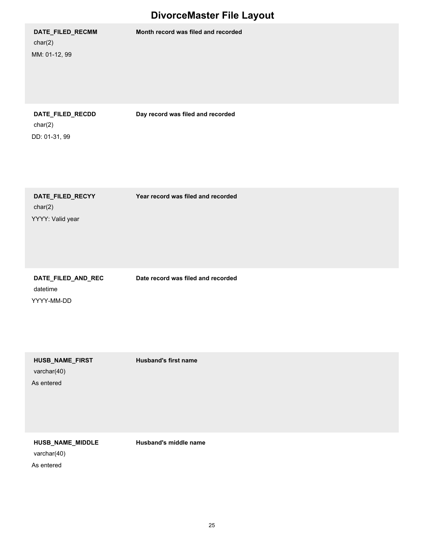**DATE\_FILED\_RECMM Month record was filed and recorded**

char(2) MM: 01-12, 99

char(2) DD: 01-31, 99

**DATE\_FILED\_RECDD Day record was filed and recorded**

char(2) **DATE\_FILED\_RECYY Year record was filed and recorded** YYYY: Valid year

datetime **DATE\_FILED\_AND\_REC Date record was filed and recorded** YYYY-MM-DD

varchar(40) **HUSB\_NAME\_FIRST Husband's first name** As entered

**HUSB\_NAME\_MIDDLE Husband's middle name**

varchar(40)

As entered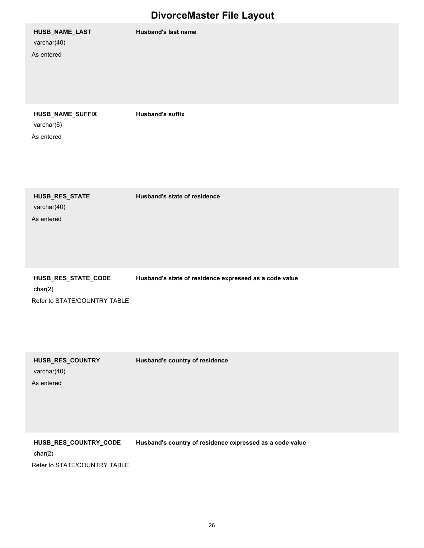varchar(40) **HUSB\_NAME\_LAST Husband's last name** As entered varchar(6) **HUSB\_NAME\_SUFFIX Husband's suffix** As entered varchar(40) **HUSB\_RES\_STATE Husband's state of residence**

char(2) **HUSB\_RES\_STATE\_CODE Husband's state of residence expressed as a code value** Refer to STATE/COUNTRY TABLE

varchar(40) **HUSB\_RES\_COUNTRY Husband's country of residence**

As entered

As entered

**HUSB\_RES\_COUNTRY\_CODE Husband's country of residence expressed as a code value**

char(2)

Refer to STATE/COUNTRY TABLE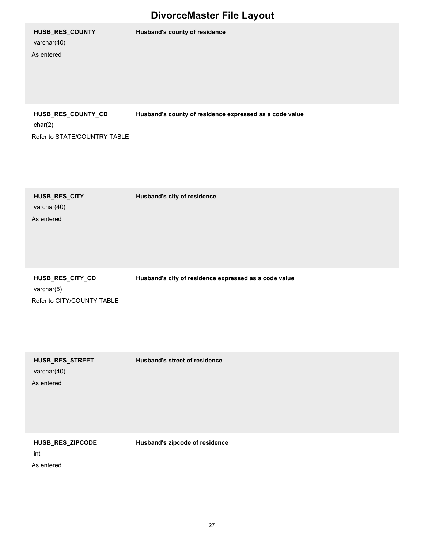# varchar(40)

As entered

**HUSB\_RES\_COUNTY Husband's county of residence**

char(2) **HUSB\_RES\_COUNTY\_CD Husband's county of residence expressed as a code value**

Refer to STATE/COUNTRY TABLE

varchar(40) As entered

**HUSB\_RES\_CITY Husband's city of residence**

varchar(5) Refer to CITY/COUNTY TABLE

**HUSB\_RES\_CITY\_CD Husband's city of residence expressed as a code value**

varchar(40) **HUSB\_RES\_STREET Husband's street of residence**

As entered

**HUSB\_RES\_ZIPCODE Husband's zipcode of residence**

int As entered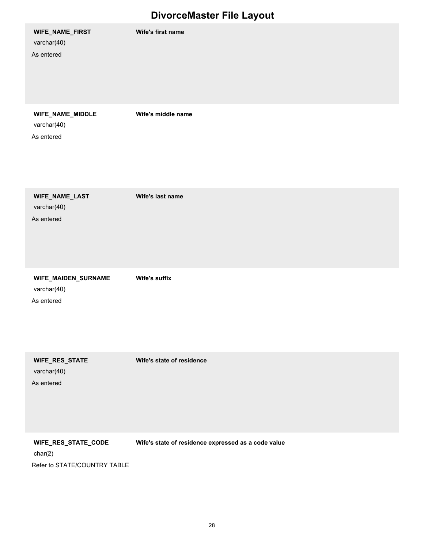| WIFE_NAME_FIRST<br>varchar(40)<br>As entered     | Wife's first name         |
|--------------------------------------------------|---------------------------|
| WIFE_NAME_MIDDLE<br>varchar(40)<br>As entered    | Wife's middle name        |
| WIFE_NAME_LAST<br>varchar(40)<br>As entered      | Wife's last name          |
| WIFE_MAIDEN_SURNAME<br>varchar(40)<br>As entered | Wife's suffix             |
| WIFE_RES_STATE<br>varchar(40)<br>As entered      | Wife's state of residence |

**WIFE\_RES\_STATE\_CODE Wife's state of residence expressed as a code value**

char(2)

Refer to STATE/COUNTRY TABLE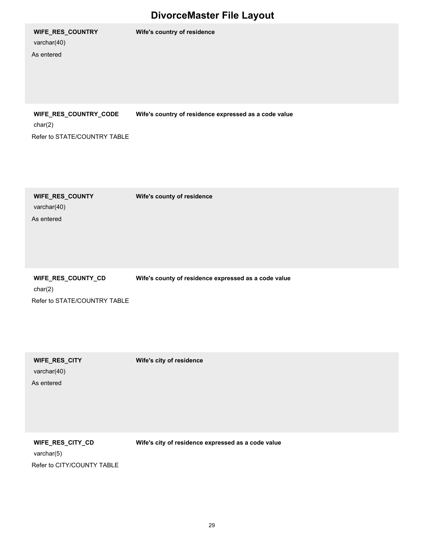#### **WIFE\_RES\_COUNTRY Wife's country of residence**

varchar(40)

As entered

**WIFE\_RES\_COUNTRY\_CODE Wife's country of residence expressed as a code value**

char(2)

Refer to STATE/COUNTRY TABLE

varchar(40) **WIFE\_RES\_COUNTY Wife's county of residence** As entered

char(2) Refer to STATE/COUNTRY TABLE

**WIFE\_RES\_COUNTY\_CD Wife's county of residence expressed as a code value**

varchar(40) As entered

**WIFE\_RES\_CITY Wife's city of residence**

varchar(5) **WIFE\_RES\_CITY\_CD Wife's city of residence expressed as a code value** Refer to CITY/COUNTY TABLE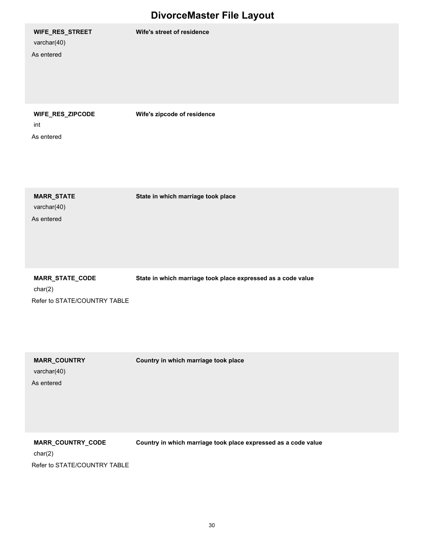#### **WIFE\_RES\_STREET Wife's street of residence**

varchar(40) As entered

**WIFE\_RES\_ZIPCODE Wife's zipcode of residence**

int

As entered

varchar(40) **MARR\_STATE State in which marriage took place** As entered

char(2) **MARR\_STATE\_CODE State in which marriage took place expressed as a code value** Refer to STATE/COUNTRY TABLE

varchar(40) As entered

**MARR\_COUNTRY Country in which marriage took place**

**MARR\_COUNTRY\_CODE Country in which marriage took place expressed as a code value**

char(2)

Refer to STATE/COUNTRY TABLE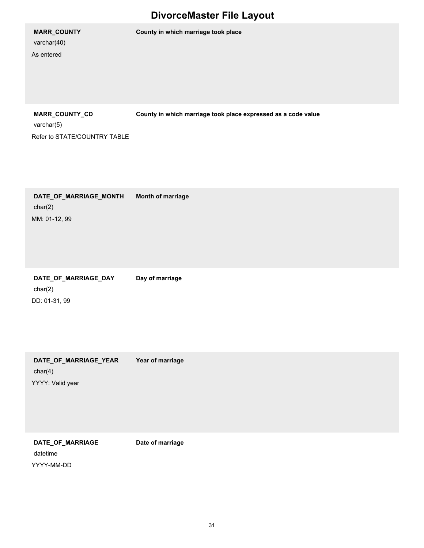varchar(40)

As entered

**MARR\_COUNTY County in which marriage took place**

**MARR\_COUNTY\_CD County in which marriage took place expressed as a code value**

varchar(5) Refer to STATE/COUNTRY TABLE

char(2) **DATE\_OF\_MARRIAGE\_MONTH Month of marriage** MM: 01-12, 99

char(2) DATE\_OF\_MARRIAGE\_DAY Day of marriage DD: 01-31, 99

char(4) **DATE\_OF\_MARRIAGE\_YEAR Year of marriage** YYYY: Valid year

datetime **DATE\_OF\_MARRIAGE Date of marriage** YYYY-MM-DD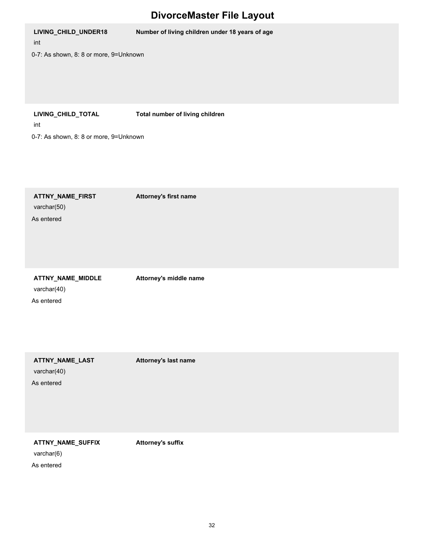| LIVING_CHILD_UNDER18<br>int<br>0-7: As shown, 8: 8 or more, 9=Unknown | Number of living children under 18 years of age |
|-----------------------------------------------------------------------|-------------------------------------------------|
|                                                                       |                                                 |
| LIVING_CHILD_TOTAL<br>int                                             | Total number of living children                 |
| 0-7: As shown, 8: 8 or more, 9=Unknown                                |                                                 |
| ATTNY_NAME_FIRST<br>varchar(50)<br>As entered                         | Attorney's first name                           |
| ATTNY_NAME_MIDDLE<br>varchar(40)<br>As entered                        | Attorney's middle name                          |
| ATTNY_NAME_LAST                                                       | Attorney's last name                            |

varchar(40)

As entered

**ATTNY\_NAME\_SUFFIX Attorney's suffix**

varchar(6)

As entered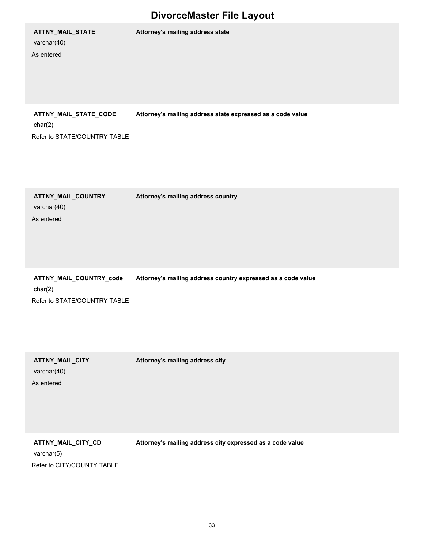# varchar(40)

As entered

**ATTNY\_MAIL\_STATE Attorney's mailing address state**

**ATTNY\_MAIL\_STATE\_CODE Attorney's mailing address state expressed as a code value**

char(2) Refer to STATE/COUNTRY TABLE

varchar(40) **ATTNY\_MAIL\_COUNTRY Attorney's mailing address country** As entered

char(2) **ATTNY\_MAIL\_COUNTRY\_code Attorney's mailing address country expressed as a code value** Refer to STATE/COUNTRY TABLE

varchar(40) As entered

**ATTNY\_MAIL\_CITY Attorney's mailing address city**

varchar(5) **ATTNY\_MAIL\_CITY\_CD Attorney's mailing address city expressed as a code value** Refer to CITY/COUNTY TABLE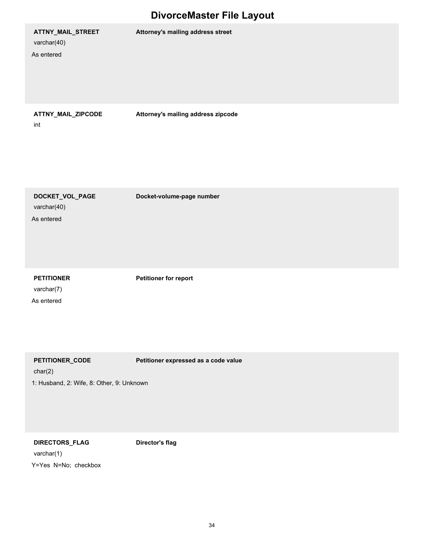#### **ATTNY\_MAIL\_STREET Attorney's mailing address street**

int

varchar(40)

As entered

**ATTNY\_MAIL\_ZIPCODE Attorney's mailing address zipcode**

varchar(40) **DOCKET\_VOL\_PAGE Docket-volume-page number** As entered

varchar(7)

As entered

**PETITIONER Petitioner for report**

**PETITIONER\_CODE Petitioner expressed as a code value**

char(2)

1: Husband, 2: Wife, 8: Other, 9: Unknown

**DIRECTORS\_FLAG Director's flag**

varchar(1) Y=Yes N=No; checkbox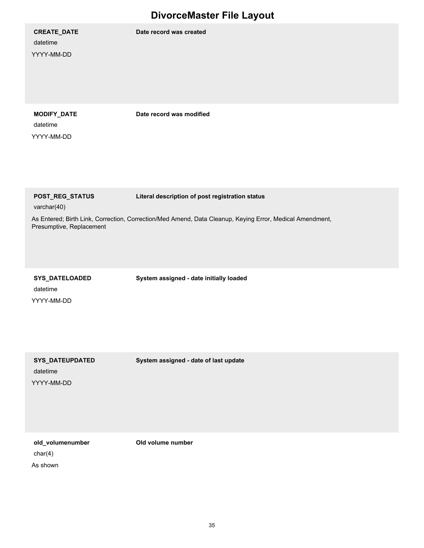**CREATE\_DATE Date record was created**

datetime YYYY-MM-DD

datetime YYYY-MM-DD

**MODIFY\_DATE Date record was modified**

**POST\_REG\_STATUS Literal description of post registration status**

varchar(40)

As Entered; Birth Link, Correction, Correction/Med Amend, Data Cleanup, Keying Error, Medical Amendment, Presumptive, Replacement

datetime **SYS\_DATELOADED System assigned - date initially loaded** YYYY-MM-DD

datetime

YYYY-MM-DD

**SYS\_DATEUPDATED System assigned - date of last update**

char(4) **old\_volumenumber Old volume number** As shown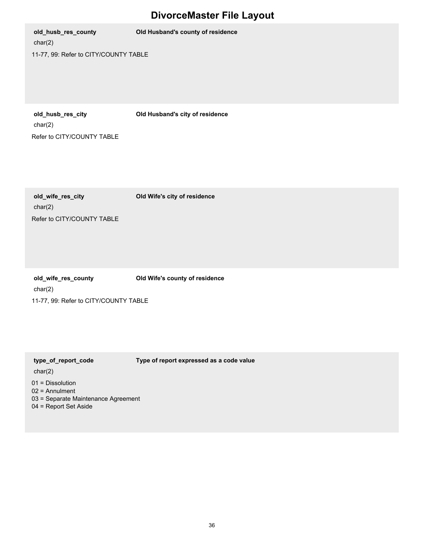char(2) **old\_husb\_res\_county Old Husband's county of residence** 11-77, 99: Refer to CITY/COUNTY TABLE

**old\_husb\_res\_city Old Husband's city of residence**

char(2) Refer to CITY/COUNTY TABLE

char(2) **old\_wife\_res\_city Old Wife's city of residence** Refer to CITY/COUNTY TABLE

char(2) **old\_wife\_res\_county Old Wife's county of residence** 11-77, 99: Refer to CITY/COUNTY TABLE

**type\_of\_report\_code Type of report expressed as a code value**

char(2)

- 01 = Dissolution
- 02 = Annulment
- 03 = Separate Maintenance Agreement
- 04 = Report Set Aside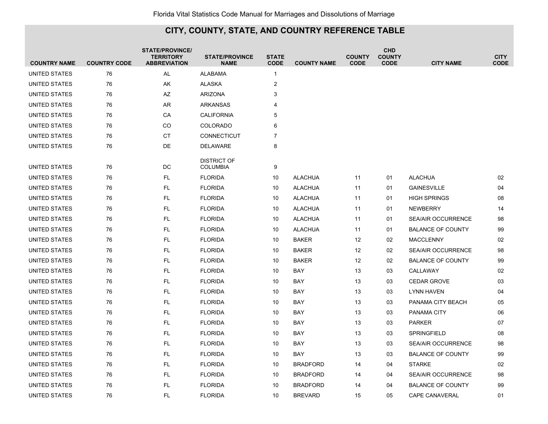| <b>COUNTRY NAME</b> | <b>COUNTRY CODE</b> | <b>STATE/PROVINCE/</b><br><b>TERRITORY</b><br><b>ABBREVIATION</b> | <b>STATE/PROVINCE</b><br><b>NAME</b> | <b>STATE</b><br><b>CODE</b> | <b>COUNTY NAME</b> | <b>COUNTY</b><br><b>CODE</b> | <b>CHD</b><br><b>COUNTY</b><br><b>CODE</b> | <b>CITY NAME</b>          | <b>CITY</b><br><b>CODE</b> |
|---------------------|---------------------|-------------------------------------------------------------------|--------------------------------------|-----------------------------|--------------------|------------------------------|--------------------------------------------|---------------------------|----------------------------|
| UNITED STATES       | 76                  | AL                                                                | <b>ALABAMA</b>                       | $\mathbf{1}$                |                    |                              |                                            |                           |                            |
| UNITED STATES       | 76                  | AK                                                                | <b>ALASKA</b>                        | 2                           |                    |                              |                                            |                           |                            |
| UNITED STATES       | 76                  | AZ                                                                | <b>ARIZONA</b>                       | 3                           |                    |                              |                                            |                           |                            |
| UNITED STATES       | 76                  | AR                                                                | <b>ARKANSAS</b>                      | 4                           |                    |                              |                                            |                           |                            |
| UNITED STATES       | 76                  | CA                                                                | <b>CALIFORNIA</b>                    | 5                           |                    |                              |                                            |                           |                            |
| UNITED STATES       | 76                  | CO                                                                | <b>COLORADO</b>                      | 6                           |                    |                              |                                            |                           |                            |
| UNITED STATES       | 76                  | CT                                                                | CONNECTICUT                          | $\overline{7}$              |                    |                              |                                            |                           |                            |
| UNITED STATES       | 76                  | DE                                                                | <b>DELAWARE</b>                      | 8                           |                    |                              |                                            |                           |                            |
|                     |                     |                                                                   | <b>DISTRICT OF</b>                   |                             |                    |                              |                                            |                           |                            |
| UNITED STATES       | 76                  | DC                                                                | <b>COLUMBIA</b>                      | 9                           |                    |                              |                                            |                           |                            |
| UNITED STATES       | 76                  | <b>FL</b>                                                         | <b>FLORIDA</b>                       | 10                          | <b>ALACHUA</b>     | 11                           | 01                                         | <b>ALACHUA</b>            | 02                         |
| UNITED STATES       | 76                  | <b>FL</b>                                                         | <b>FLORIDA</b>                       | 10                          | <b>ALACHUA</b>     | 11                           | 01                                         | <b>GAINESVILLE</b>        | 04                         |
| UNITED STATES       | 76                  | <b>FL</b>                                                         | <b>FLORIDA</b>                       | 10                          | <b>ALACHUA</b>     | 11                           | 01                                         | <b>HIGH SPRINGS</b>       | 08                         |
| UNITED STATES       | 76                  | FL.                                                               | <b>FLORIDA</b>                       | 10                          | <b>ALACHUA</b>     | 11                           | 01                                         | <b>NEWBERRY</b>           | 14                         |
| UNITED STATES       | 76                  | FL.                                                               | <b>FLORIDA</b>                       | 10                          | <b>ALACHUA</b>     | 11                           | 01                                         | <b>SEA/AIR OCCURRENCE</b> | 98                         |
| UNITED STATES       | 76                  | <b>FL</b>                                                         | <b>FLORIDA</b>                       | 10                          | <b>ALACHUA</b>     | 11                           | 01                                         | <b>BALANCE OF COUNTY</b>  | 99                         |
| UNITED STATES       | 76                  | <b>FL</b>                                                         | <b>FLORIDA</b>                       | 10                          | <b>BAKER</b>       | 12                           | 02                                         | <b>MACCLENNY</b>          | 02                         |
| UNITED STATES       | 76                  | FL                                                                | <b>FLORIDA</b>                       | 10                          | <b>BAKER</b>       | 12                           | 02                                         | SEA/AIR OCCURRENCE        | 98                         |
| UNITED STATES       | 76                  | FL.                                                               | <b>FLORIDA</b>                       | 10                          | <b>BAKER</b>       | 12                           | 02                                         | <b>BALANCE OF COUNTY</b>  | 99                         |
| UNITED STATES       | 76                  | <b>FL</b>                                                         | <b>FLORIDA</b>                       | 10                          | BAY                | 13                           | 03                                         | CALLAWAY                  | 02                         |
| UNITED STATES       | 76                  | <b>FL</b>                                                         | <b>FLORIDA</b>                       | 10                          | <b>BAY</b>         | 13                           | 03                                         | <b>CEDAR GROVE</b>        | 03                         |
| UNITED STATES       | 76                  | FL                                                                | <b>FLORIDA</b>                       | 10                          | BAY                | 13                           | 03                                         | <b>LYNN HAVEN</b>         | 04                         |
| UNITED STATES       | 76                  | FL                                                                | <b>FLORIDA</b>                       | 10                          | BAY                | 13                           | 03                                         | PANAMA CITY BEACH         | 05                         |
| UNITED STATES       | 76                  | <b>FL</b>                                                         | <b>FLORIDA</b>                       | 10                          | BAY                | 13                           | 03                                         | PANAMA CITY               | 06                         |
| UNITED STATES       | 76                  | <b>FL</b>                                                         | <b>FLORIDA</b>                       | 10                          | <b>BAY</b>         | 13                           | 03                                         | <b>PARKER</b>             | 07                         |
| UNITED STATES       | 76                  | <b>FL</b>                                                         | <b>FLORIDA</b>                       | 10                          | <b>BAY</b>         | 13                           | 03                                         | <b>SPRINGFIELD</b>        | 08                         |
| UNITED STATES       | 76                  | FL                                                                | <b>FLORIDA</b>                       | 10                          | <b>BAY</b>         | 13                           | 03                                         | <b>SEA/AIR OCCURRENCE</b> | 98                         |
| UNITED STATES       | 76                  | <b>FL</b>                                                         | <b>FLORIDA</b>                       | 10                          | BAY                | 13                           | 03                                         | <b>BALANCE OF COUNTY</b>  | 99                         |
| UNITED STATES       | 76                  | <b>FL</b>                                                         | <b>FLORIDA</b>                       | 10                          | <b>BRADFORD</b>    | 14                           | 04                                         | <b>STARKE</b>             | 02                         |
| UNITED STATES       | 76                  | FL.                                                               | <b>FLORIDA</b>                       | 10                          | <b>BRADFORD</b>    | 14                           | 04                                         | <b>SEA/AIR OCCURRENCE</b> | 98                         |
| UNITED STATES       | 76                  | FL                                                                | <b>FLORIDA</b>                       | 10                          | <b>BRADFORD</b>    | 14                           | 04                                         | <b>BALANCE OF COUNTY</b>  | 99                         |
| UNITED STATES       | 76                  | <b>FL</b>                                                         | <b>FLORIDA</b>                       | 10                          | <b>BREVARD</b>     | 15                           | 05                                         | <b>CAPE CANAVERAL</b>     | 01                         |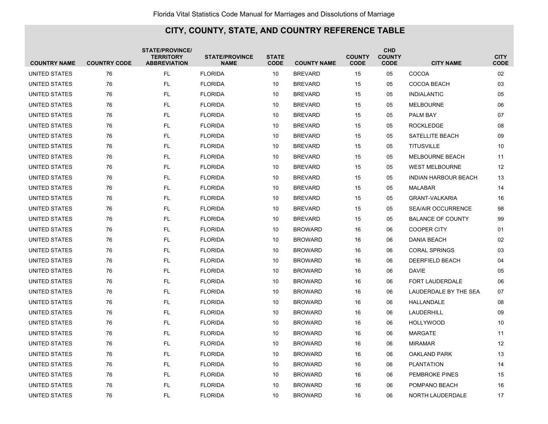| <b>COUNTRY NAME</b> | <b>COUNTRY CODE</b> | <b>STATE/PROVINCE/</b><br><b>TERRITORY</b><br><b>ABBREVIATION</b> | <b>STATE/PROVINCE</b><br><b>NAME</b> | <b>STATE</b><br><b>CODE</b> | <b>COUNTY NAME</b> | <b>COUNTY</b><br><b>CODE</b> | <b>CHD</b><br><b>COUNTY</b><br><b>CODE</b> | <b>CITY NAME</b>            | <b>CITY</b><br><b>CODE</b> |
|---------------------|---------------------|-------------------------------------------------------------------|--------------------------------------|-----------------------------|--------------------|------------------------------|--------------------------------------------|-----------------------------|----------------------------|
| UNITED STATES       | 76                  | FL                                                                | <b>FLORIDA</b>                       | 10                          | <b>BREVARD</b>     | 15                           | 05                                         | COCOA                       | 02                         |
| UNITED STATES       | 76                  | <b>FL</b>                                                         | <b>FLORIDA</b>                       | 10                          | <b>BREVARD</b>     | 15                           | 05                                         | COCOA BEACH                 | 03                         |
| UNITED STATES       | 76                  | <b>FL</b>                                                         | <b>FLORIDA</b>                       | 10                          | <b>BREVARD</b>     | 15                           | 05                                         | <b>INDIALANTIC</b>          | 05                         |
| UNITED STATES       | 76                  | FL                                                                | <b>FLORIDA</b>                       | 10                          | <b>BREVARD</b>     | 15                           | 05                                         | <b>MELBOURNE</b>            | 06                         |
| UNITED STATES       | 76                  | FL                                                                | <b>FLORIDA</b>                       | 10                          | <b>BREVARD</b>     | 15                           | 05                                         | PALM BAY                    | 07                         |
| UNITED STATES       | 76                  | <b>FL</b>                                                         | <b>FLORIDA</b>                       | 10                          | <b>BREVARD</b>     | 15                           | 05                                         | <b>ROCKLEDGE</b>            | 08                         |
| UNITED STATES       | 76                  | <b>FL</b>                                                         | <b>FLORIDA</b>                       | 10                          | <b>BREVARD</b>     | 15                           | 05                                         | SATELLITE BEACH             | 09                         |
| UNITED STATES       | 76                  | <b>FL</b>                                                         | <b>FLORIDA</b>                       | 10                          | <b>BREVARD</b>     | 15                           | 05                                         | <b>TITUSVILLE</b>           | 10                         |
| UNITED STATES       | 76                  | <b>FL</b>                                                         | <b>FLORIDA</b>                       | 10                          | <b>BREVARD</b>     | 15                           | 05                                         | <b>MELBOURNE BEACH</b>      | 11                         |
| UNITED STATES       | 76                  | <b>FL</b>                                                         | <b>FLORIDA</b>                       | 10                          | <b>BREVARD</b>     | 15                           | 05                                         | <b>WEST MELBOURNE</b>       | 12                         |
| UNITED STATES       | 76                  | <b>FL</b>                                                         | <b>FLORIDA</b>                       | 10                          | <b>BREVARD</b>     | 15                           | 05                                         | <b>INDIAN HARBOUR BEACH</b> | 13                         |
| UNITED STATES       | 76                  | <b>FL</b>                                                         | <b>FLORIDA</b>                       | 10                          | <b>BREVARD</b>     | 15                           | 05                                         | <b>MALABAR</b>              | 14                         |
| UNITED STATES       | 76                  | <b>FL</b>                                                         | <b>FLORIDA</b>                       | 10                          | <b>BREVARD</b>     | 15                           | 05                                         | <b>GRANT-VALKARIA</b>       | 16                         |
| UNITED STATES       | 76                  | <b>FL</b>                                                         | <b>FLORIDA</b>                       | 10                          | <b>BREVARD</b>     | 15                           | 05                                         | <b>SEA/AIR OCCURRENCE</b>   | 98                         |
| UNITED STATES       | 76                  | FL                                                                | <b>FLORIDA</b>                       | 10                          | <b>BREVARD</b>     | 15                           | 05                                         | <b>BALANCE OF COUNTY</b>    | 99                         |
| UNITED STATES       | 76                  | FL                                                                | <b>FLORIDA</b>                       | 10                          | <b>BROWARD</b>     | 16                           | 06                                         | <b>COOPER CITY</b>          | 01                         |
| UNITED STATES       | 76                  | <b>FL</b>                                                         | <b>FLORIDA</b>                       | 10                          | <b>BROWARD</b>     | 16                           | 06                                         | <b>DANIA BEACH</b>          | 02                         |
| UNITED STATES       | 76                  | <b>FL</b>                                                         | <b>FLORIDA</b>                       | 10                          | <b>BROWARD</b>     | 16                           | 06                                         | <b>CORAL SPRINGS</b>        | 03                         |
| UNITED STATES       | 76                  | <b>FL</b>                                                         | <b>FLORIDA</b>                       | 10                          | <b>BROWARD</b>     | 16                           | 06                                         | DEERFIELD BEACH             | 04                         |
| UNITED STATES       | 76                  | FL                                                                | <b>FLORIDA</b>                       | 10                          | <b>BROWARD</b>     | 16                           | 06                                         | DAVIE                       | 05                         |
| UNITED STATES       | 76                  | <b>FL</b>                                                         | <b>FLORIDA</b>                       | 10                          | BROWARD            | 16                           | 06                                         | FORT LAUDERDALE             | 06                         |
| UNITED STATES       | 76                  | FL                                                                | <b>FLORIDA</b>                       | 10                          | <b>BROWARD</b>     | 16                           | 06                                         | LAUDERDALE BY THE SEA       | 07                         |
| UNITED STATES       | 76                  | <b>FL</b>                                                         | <b>FLORIDA</b>                       | 10                          | <b>BROWARD</b>     | 16                           | 06                                         | HALLANDALE                  | 08                         |
| UNITED STATES       | 76                  | FL                                                                | <b>FLORIDA</b>                       | 10                          | <b>BROWARD</b>     | 16                           | 06                                         | LAUDERHILL                  | 09                         |
| UNITED STATES       | 76                  | <b>FL</b>                                                         | <b>FLORIDA</b>                       | 10                          | <b>BROWARD</b>     | 16                           | 06                                         | <b>HOLLYWOOD</b>            | 10                         |
| UNITED STATES       | 76                  | <b>FL</b>                                                         | <b>FLORIDA</b>                       | 10                          | <b>BROWARD</b>     | 16                           | 06                                         | <b>MARGATE</b>              | 11                         |
| UNITED STATES       | 76                  | <b>FL</b>                                                         | <b>FLORIDA</b>                       | 10                          | <b>BROWARD</b>     | 16                           | 06                                         | <b>MIRAMAR</b>              | 12                         |
| UNITED STATES       | 76                  | <b>FL</b>                                                         | <b>FLORIDA</b>                       | 10                          | <b>BROWARD</b>     | 16                           | 06                                         | <b>OAKLAND PARK</b>         | 13                         |
| UNITED STATES       | 76                  | FL.                                                               | <b>FLORIDA</b>                       | 10                          | <b>BROWARD</b>     | 16                           | 06                                         | <b>PLANTATION</b>           | 14                         |
| UNITED STATES       | 76                  | FL                                                                | <b>FLORIDA</b>                       | 10                          | <b>BROWARD</b>     | 16                           | 06                                         | PEMBROKE PINES              | 15                         |
| UNITED STATES       | 76                  | FL                                                                | <b>FLORIDA</b>                       | 10                          | <b>BROWARD</b>     | 16                           | 06                                         | POMPANO BEACH               | 16                         |
| UNITED STATES       | 76                  | <b>FL</b>                                                         | <b>FLORIDA</b>                       | 10                          | BROWARD            | 16                           | 06                                         | NORTH LAUDERDALE            | 17                         |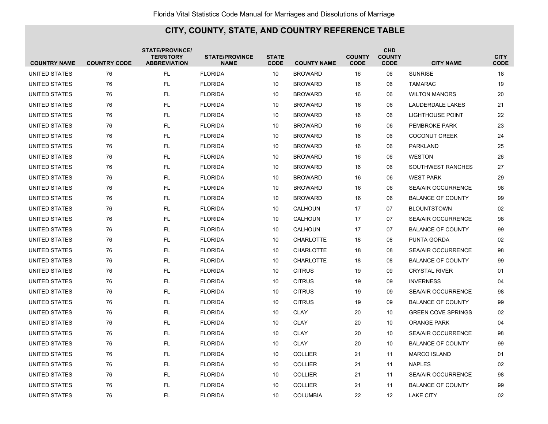| <b>COUNTRY NAME</b> | <b>COUNTRY CODE</b> | <b>STATE/PROVINCE/</b><br><b>TERRITORY</b><br><b>ABBREVIATION</b> | <b>STATE/PROVINCE</b><br><b>NAME</b> | <b>STATE</b><br><b>CODE</b> | <b>COUNTY NAME</b> | <b>COUNTY</b><br><b>CODE</b> | <b>CHD</b><br><b>COUNTY</b><br><b>CODE</b> | <b>CITY NAME</b>          | <b>CITY</b><br><b>CODE</b> |
|---------------------|---------------------|-------------------------------------------------------------------|--------------------------------------|-----------------------------|--------------------|------------------------------|--------------------------------------------|---------------------------|----------------------------|
| UNITED STATES       | 76                  | <b>FL</b>                                                         | <b>FLORIDA</b>                       | 10                          | <b>BROWARD</b>     | 16                           | 06                                         | <b>SUNRISE</b>            | 18                         |
| UNITED STATES       | 76                  | <b>FL</b>                                                         | <b>FLORIDA</b>                       | 10                          | <b>BROWARD</b>     | 16                           | 06                                         | <b>TAMARAC</b>            | 19                         |
| UNITED STATES       | 76                  | <b>FL</b>                                                         | <b>FLORIDA</b>                       | 10                          | <b>BROWARD</b>     | 16                           | 06                                         | <b>WILTON MANORS</b>      | 20                         |
| UNITED STATES       | 76                  | <b>FL</b>                                                         | <b>FLORIDA</b>                       | 10                          | <b>BROWARD</b>     | 16                           | 06                                         | <b>LAUDERDALE LAKES</b>   | 21                         |
| UNITED STATES       | 76                  | <b>FL</b>                                                         | <b>FLORIDA</b>                       | 10                          | <b>BROWARD</b>     | 16                           | 06                                         | <b>LIGHTHOUSE POINT</b>   | 22                         |
| UNITED STATES       | 76                  | <b>FL</b>                                                         | <b>FLORIDA</b>                       | 10                          | <b>BROWARD</b>     | 16                           | 06                                         | PEMBROKE PARK             | 23                         |
| UNITED STATES       | 76                  | <b>FL</b>                                                         | <b>FLORIDA</b>                       | 10                          | <b>BROWARD</b>     | 16                           | 06                                         | <b>COCONUT CREEK</b>      | 24                         |
| UNITED STATES       | 76                  | <b>FL</b>                                                         | <b>FLORIDA</b>                       | 10                          | <b>BROWARD</b>     | 16                           | 06                                         | <b>PARKLAND</b>           | 25                         |
| UNITED STATES       | 76                  | <b>FL</b>                                                         | <b>FLORIDA</b>                       | 10                          | <b>BROWARD</b>     | 16                           | 06                                         | <b>WESTON</b>             | 26                         |
| UNITED STATES       | 76                  | <b>FL</b>                                                         | <b>FLORIDA</b>                       | 10                          | <b>BROWARD</b>     | 16                           | 06                                         | SOUTHWEST RANCHES         | 27                         |
| UNITED STATES       | 76                  | <b>FL</b>                                                         | <b>FLORIDA</b>                       | 10                          | <b>BROWARD</b>     | 16                           | 06                                         | <b>WEST PARK</b>          | 29                         |
| UNITED STATES       | 76                  | <b>FL</b>                                                         | <b>FLORIDA</b>                       | 10                          | <b>BROWARD</b>     | 16                           | 06                                         | <b>SEA/AIR OCCURRENCE</b> | 98                         |
| UNITED STATES       | 76                  | <b>FL</b>                                                         | <b>FLORIDA</b>                       | 10                          | <b>BROWARD</b>     | 16                           | 06                                         | <b>BALANCE OF COUNTY</b>  | 99                         |
| UNITED STATES       | 76                  | <b>FL</b>                                                         | <b>FLORIDA</b>                       | 10                          | CALHOUN            | 17                           | 07                                         | <b>BLOUNTSTOWN</b>        | 02                         |
| UNITED STATES       | 76                  | <b>FL</b>                                                         | <b>FLORIDA</b>                       | 10                          | <b>CALHOUN</b>     | 17                           | 07                                         | <b>SEA/AIR OCCURRENCE</b> | 98                         |
| UNITED STATES       | 76                  | <b>FL</b>                                                         | <b>FLORIDA</b>                       | 10                          | CALHOUN            | 17                           | 07                                         | <b>BALANCE OF COUNTY</b>  | 99                         |
| UNITED STATES       | 76                  | <b>FL</b>                                                         | <b>FLORIDA</b>                       | 10                          | <b>CHARLOTTE</b>   | 18                           | 08                                         | PUNTA GORDA               | 02                         |
| UNITED STATES       | 76                  | <b>FL</b>                                                         | <b>FLORIDA</b>                       | 10                          | <b>CHARLOTTE</b>   | 18                           | 08                                         | <b>SEA/AIR OCCURRENCE</b> | 98                         |
| UNITED STATES       | 76                  | <b>FL</b>                                                         | <b>FLORIDA</b>                       | 10                          | <b>CHARLOTTE</b>   | 18                           | 08                                         | <b>BALANCE OF COUNTY</b>  | 99                         |
| UNITED STATES       | 76                  | <b>FL</b>                                                         | <b>FLORIDA</b>                       | 10                          | <b>CITRUS</b>      | 19                           | 09                                         | <b>CRYSTAL RIVER</b>      | 01                         |
| UNITED STATES       | 76                  | <b>FL</b>                                                         | <b>FLORIDA</b>                       | 10                          | <b>CITRUS</b>      | 19                           | 09                                         | <b>INVERNESS</b>          | 04                         |
| UNITED STATES       | 76                  | <b>FL</b>                                                         | <b>FLORIDA</b>                       | 10                          | <b>CITRUS</b>      | 19                           | 09                                         | <b>SEA/AIR OCCURRENCE</b> | 98                         |
| UNITED STATES       | 76                  | <b>FL</b>                                                         | <b>FLORIDA</b>                       | 10                          | <b>CITRUS</b>      | 19                           | 09                                         | <b>BALANCE OF COUNTY</b>  | 99                         |
| UNITED STATES       | 76                  | <b>FL</b>                                                         | <b>FLORIDA</b>                       | 10                          | <b>CLAY</b>        | 20                           | 10                                         | <b>GREEN COVE SPRINGS</b> | 02                         |
| UNITED STATES       | 76                  | <b>FL</b>                                                         | <b>FLORIDA</b>                       | 10                          | <b>CLAY</b>        | 20                           | 10                                         | <b>ORANGE PARK</b>        | 04                         |
| UNITED STATES       | 76                  | <b>FL</b>                                                         | <b>FLORIDA</b>                       | 10                          | <b>CLAY</b>        | 20                           | 10                                         | <b>SEA/AIR OCCURRENCE</b> | 98                         |
| UNITED STATES       | 76                  | <b>FL</b>                                                         | <b>FLORIDA</b>                       | 10                          | <b>CLAY</b>        | 20                           | 10                                         | <b>BALANCE OF COUNTY</b>  | 99                         |
| UNITED STATES       | 76                  | <b>FL</b>                                                         | <b>FLORIDA</b>                       | 10                          | <b>COLLIER</b>     | 21                           | 11                                         | <b>MARCO ISLAND</b>       | 01                         |
| UNITED STATES       | 76                  | <b>FL</b>                                                         | <b>FLORIDA</b>                       | 10                          | <b>COLLIER</b>     | 21                           | 11                                         | <b>NAPLES</b>             | 02                         |
| UNITED STATES       | 76                  | <b>FL</b>                                                         | <b>FLORIDA</b>                       | 10                          | <b>COLLIER</b>     | 21                           | 11                                         | <b>SEA/AIR OCCURRENCE</b> | 98                         |
| UNITED STATES       | 76                  | FL                                                                | <b>FLORIDA</b>                       | 10                          | <b>COLLIER</b>     | 21                           | 11                                         | <b>BALANCE OF COUNTY</b>  | 99                         |
| UNITED STATES       | 76                  | <b>FL</b>                                                         | <b>FLORIDA</b>                       | 10                          | <b>COLUMBIA</b>    | 22                           | 12                                         | <b>LAKE CITY</b>          | 02                         |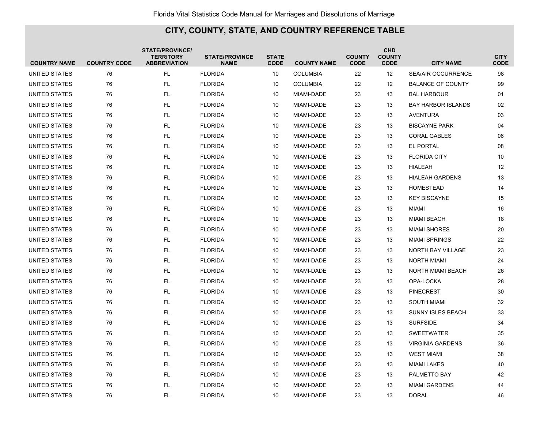| <b>COUNTRY NAME</b>  | <b>COUNTRY CODE</b> | <b>STATE/PROVINCE/</b><br><b>TERRITORY</b><br><b>ABBREVIATION</b> | <b>STATE/PROVINCE</b><br><b>NAME</b> | <b>STATE</b><br><b>CODE</b> | <b>COUNTY NAME</b> | <b>COUNTY</b><br><b>CODE</b> | <b>CHD</b><br><b>COUNTY</b><br><b>CODE</b> | <b>CITY NAME</b>          | <b>CITY</b><br><b>CODE</b> |
|----------------------|---------------------|-------------------------------------------------------------------|--------------------------------------|-----------------------------|--------------------|------------------------------|--------------------------------------------|---------------------------|----------------------------|
| UNITED STATES        | 76                  | <b>FL</b>                                                         | <b>FLORIDA</b>                       | 10                          | <b>COLUMBIA</b>    | 22                           | 12                                         | <b>SEA/AIR OCCURRENCE</b> | 98                         |
| UNITED STATES        | 76                  | <b>FL</b>                                                         | <b>FLORIDA</b>                       | 10                          | <b>COLUMBIA</b>    | 22                           | 12                                         | <b>BALANCE OF COUNTY</b>  | 99                         |
| UNITED STATES        | 76                  | FL                                                                | <b>FLORIDA</b>                       | 10                          | MIAMI-DADE         | 23                           | 13                                         | <b>BAL HARBOUR</b>        | 01                         |
| UNITED STATES        | 76                  | <b>FL</b>                                                         | <b>FLORIDA</b>                       | 10                          | MIAMI-DADE         | 23                           | 13                                         | <b>BAY HARBOR ISLANDS</b> | 02                         |
| UNITED STATES        | 76                  | <b>FL</b>                                                         | <b>FLORIDA</b>                       | 10                          | MIAMI-DADE         | 23                           | 13                                         | <b>AVENTURA</b>           | 03                         |
| UNITED STATES        | 76                  | <b>FL</b>                                                         | <b>FLORIDA</b>                       | 10                          | MIAMI-DADE         | 23                           | 13                                         | <b>BISCAYNE PARK</b>      | 04                         |
| <b>UNITED STATES</b> | 76                  | <b>FL</b>                                                         | <b>FLORIDA</b>                       | 10                          | <b>MIAMI-DADE</b>  | 23                           | 13                                         | <b>CORAL GABLES</b>       | 06                         |
| UNITED STATES        | 76                  | <b>FL</b>                                                         | <b>FLORIDA</b>                       | 10                          | <b>MIAMI-DADE</b>  | 23                           | 13                                         | <b>EL PORTAL</b>          | 08                         |
| UNITED STATES        | 76                  | <b>FL</b>                                                         | <b>FLORIDA</b>                       | 10                          | MIAMI-DADE         | 23                           | 13                                         | <b>FLORIDA CITY</b>       | 10                         |
| UNITED STATES        | 76                  | <b>FL</b>                                                         | <b>FLORIDA</b>                       | 10                          | MIAMI-DADE         | 23                           | 13                                         | <b>HIALEAH</b>            | 12                         |
| UNITED STATES        | 76                  | <b>FL</b>                                                         | <b>FLORIDA</b>                       | 10                          | MIAMI-DADE         | 23                           | 13                                         | <b>HIALEAH GARDENS</b>    | 13                         |
| UNITED STATES        | 76                  | <b>FL</b>                                                         | <b>FLORIDA</b>                       | 10                          | MIAMI-DADE         | 23                           | 13                                         | <b>HOMESTEAD</b>          | 14                         |
| UNITED STATES        | 76                  | <b>FL</b>                                                         | <b>FLORIDA</b>                       | 10                          | MIAMI-DADE         | 23                           | 13                                         | <b>KEY BISCAYNE</b>       | 15                         |
| UNITED STATES        | 76                  | <b>FL</b>                                                         | <b>FLORIDA</b>                       | 10                          | MIAMI-DADE         | 23                           | 13                                         | <b>MIAMI</b>              | 16                         |
| UNITED STATES        | 76                  | <b>FL</b>                                                         | <b>FLORIDA</b>                       | 10                          | MIAMI-DADE         | 23                           | 13                                         | <b>MIAMI BEACH</b>        | 18                         |
| UNITED STATES        | 76                  | <b>FL</b>                                                         | <b>FLORIDA</b>                       | 10                          | <b>MIAMI-DADE</b>  | 23                           | 13                                         | <b>MIAMI SHORES</b>       | 20                         |
| UNITED STATES        | 76                  | <b>FL</b>                                                         | <b>FLORIDA</b>                       | 10                          | <b>MIAMI-DADE</b>  | 23                           | 13                                         | <b>MIAMI SPRINGS</b>      | 22                         |
| UNITED STATES        | 76                  | <b>FL</b>                                                         | <b>FLORIDA</b>                       | 10                          | MIAMI-DADE         | 23                           | 13                                         | NORTH BAY VILLAGE         | 23                         |
| UNITED STATES        | 76                  | <b>FL</b>                                                         | <b>FLORIDA</b>                       | 10                          | MIAMI-DADE         | 23                           | 13                                         | <b>NORTH MIAMI</b>        | 24                         |
| UNITED STATES        | 76                  | <b>FL</b>                                                         | <b>FLORIDA</b>                       | 10                          | MIAMI-DADE         | 23                           | 13                                         | NORTH MIAMI BEACH         | 26                         |
| UNITED STATES        | 76                  | FL                                                                | <b>FLORIDA</b>                       | 10                          | MIAMI-DADE         | 23                           | 13                                         | OPA-LOCKA                 | 28                         |
| UNITED STATES        | 76                  | <b>FL</b>                                                         | <b>FLORIDA</b>                       | 10                          | MIAMI-DADE         | 23                           | 13                                         | <b>PINECREST</b>          | 30                         |
| UNITED STATES        | 76                  | <b>FL</b>                                                         | <b>FLORIDA</b>                       | 10                          | MIAMI-DADE         | 23                           | 13                                         | <b>SOUTH MIAMI</b>        | 32                         |
| UNITED STATES        | 76                  | <b>FL</b>                                                         | <b>FLORIDA</b>                       | 10                          | <b>MIAMI-DADE</b>  | 23                           | 13                                         | <b>SUNNY ISLES BEACH</b>  | 33                         |
| UNITED STATES        | 76                  | <b>FL</b>                                                         | <b>FLORIDA</b>                       | 10                          | <b>MIAMI-DADE</b>  | 23                           | 13                                         | <b>SURFSIDE</b>           | 34                         |
| UNITED STATES        | 76                  | <b>FL</b>                                                         | <b>FLORIDA</b>                       | 10                          | <b>MIAMI-DADE</b>  | 23                           | 13                                         | <b>SWEETWATER</b>         | 35                         |
| UNITED STATES        | 76                  | <b>FL</b>                                                         | <b>FLORIDA</b>                       | 10                          | MIAMI-DADE         | 23                           | 13                                         | <b>VIRGINIA GARDENS</b>   | 36                         |
| UNITED STATES        | 76                  | <b>FL</b>                                                         | <b>FLORIDA</b>                       | 10                          | MIAMI-DADE         | 23                           | 13                                         | <b>WEST MIAMI</b>         | 38                         |
| UNITED STATES        | 76                  | <b>FL</b>                                                         | <b>FLORIDA</b>                       | 10                          | MIAMI-DADE         | 23                           | 13                                         | <b>MIAMI LAKES</b>        | 40                         |
| UNITED STATES        | 76                  | <b>FL</b>                                                         | <b>FLORIDA</b>                       | 10                          | MIAMI-DADE         | 23                           | 13                                         | PALMETTO BAY              | 42                         |
| UNITED STATES        | 76                  | <b>FL</b>                                                         | <b>FLORIDA</b>                       | 10                          | MIAMI-DADE         | 23                           | 13                                         | <b>MIAMI GARDENS</b>      | 44                         |
| UNITED STATES        | 76                  | FL.                                                               | <b>FLORIDA</b>                       | 10                          | MIAMI-DADE         | 23                           | 13                                         | <b>DORAL</b>              | 46                         |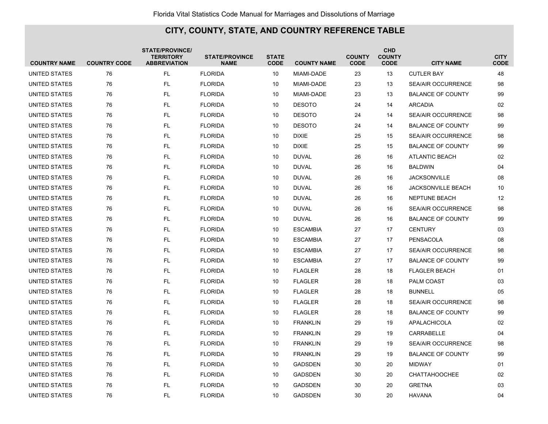| <b>COUNTRY NAME</b>  | <b>COUNTRY CODE</b> | <b>STATE/PROVINCE/</b><br><b>TERRITORY</b><br><b>ABBREVIATION</b> | <b>STATE/PROVINCE</b><br><b>NAME</b> | <b>STATE</b><br><b>CODE</b> | <b>COUNTY NAME</b> | <b>COUNTY</b><br><b>CODE</b> | <b>CHD</b><br><b>COUNTY</b><br><b>CODE</b> | <b>CITY NAME</b>          | <b>CITY</b><br><b>CODE</b> |
|----------------------|---------------------|-------------------------------------------------------------------|--------------------------------------|-----------------------------|--------------------|------------------------------|--------------------------------------------|---------------------------|----------------------------|
| UNITED STATES        | 76                  | FL                                                                | <b>FLORIDA</b>                       | 10                          | MIAMI-DADE         | 23                           | 13                                         | <b>CUTLER BAY</b>         | 48                         |
| UNITED STATES        | 76                  | <b>FL</b>                                                         | <b>FLORIDA</b>                       | 10                          | MIAMI-DADE         | 23                           | 13                                         | <b>SEA/AIR OCCURRENCE</b> | 98                         |
| UNITED STATES        | 76                  | FL                                                                | <b>FLORIDA</b>                       | 10                          | MIAMI-DADE         | 23                           | 13                                         | <b>BALANCE OF COUNTY</b>  | 99                         |
| <b>UNITED STATES</b> | 76                  | <b>FL</b>                                                         | <b>FLORIDA</b>                       | 10                          | <b>DESOTO</b>      | 24                           | 14                                         | <b>ARCADIA</b>            | 02                         |
| UNITED STATES        | 76                  | FL                                                                | <b>FLORIDA</b>                       | 10                          | <b>DESOTO</b>      | 24                           | 14                                         | <b>SEA/AIR OCCURRENCE</b> | 98                         |
| UNITED STATES        | 76                  | FL                                                                | <b>FLORIDA</b>                       | 10                          | <b>DESOTO</b>      | 24                           | 14                                         | <b>BALANCE OF COUNTY</b>  | 99                         |
| UNITED STATES        | 76                  | <b>FL</b>                                                         | <b>FLORIDA</b>                       | 10                          | <b>DIXIE</b>       | 25                           | 15                                         | <b>SEA/AIR OCCURRENCE</b> | 98                         |
| UNITED STATES        | 76                  | <b>FL</b>                                                         | <b>FLORIDA</b>                       | 10                          | <b>DIXIE</b>       | 25                           | 15                                         | <b>BALANCE OF COUNTY</b>  | 99                         |
| UNITED STATES        | 76                  | <b>FL</b>                                                         | <b>FLORIDA</b>                       | 10                          | <b>DUVAL</b>       | 26                           | 16                                         | <b>ATLANTIC BEACH</b>     | 02                         |
| UNITED STATES        | 76                  | <b>FL</b>                                                         | <b>FLORIDA</b>                       | 10                          | <b>DUVAL</b>       | 26                           | 16                                         | <b>BALDWIN</b>            | 04                         |
| UNITED STATES        | 76                  | <b>FL</b>                                                         | <b>FLORIDA</b>                       | 10                          | <b>DUVAL</b>       | 26                           | 16                                         | <b>JACKSONVILLE</b>       | 08                         |
| UNITED STATES        | 76                  | FL                                                                | <b>FLORIDA</b>                       | 10                          | <b>DUVAL</b>       | 26                           | 16                                         | <b>JACKSONVILLE BEACH</b> | 10                         |
| UNITED STATES        | 76                  | <b>FL</b>                                                         | <b>FLORIDA</b>                       | 10                          | <b>DUVAL</b>       | 26                           | 16                                         | <b>NEPTUNE BEACH</b>      | 12                         |
| UNITED STATES        | 76                  | <b>FL</b>                                                         | <b>FLORIDA</b>                       | 10                          | <b>DUVAL</b>       | 26                           | 16                                         | <b>SEA/AIR OCCURRENCE</b> | 98                         |
| UNITED STATES        | 76                  | FL                                                                | <b>FLORIDA</b>                       | 10                          | <b>DUVAL</b>       | 26                           | 16                                         | <b>BALANCE OF COUNTY</b>  | 99                         |
| UNITED STATES        | 76                  | <b>FL</b>                                                         | <b>FLORIDA</b>                       | 10                          | <b>ESCAMBIA</b>    | 27                           | 17                                         | <b>CENTURY</b>            | 03                         |
| UNITED STATES        | 76                  | <b>FL</b>                                                         | <b>FLORIDA</b>                       | 10                          | <b>ESCAMBIA</b>    | 27                           | 17                                         | <b>PENSACOLA</b>          | 08                         |
| UNITED STATES        | 76                  | <b>FL</b>                                                         | <b>FLORIDA</b>                       | 10                          | <b>ESCAMBIA</b>    | 27                           | 17                                         | <b>SEA/AIR OCCURRENCE</b> | 98                         |
| UNITED STATES        | 76                  | FL.                                                               | <b>FLORIDA</b>                       | 10                          | <b>ESCAMBIA</b>    | 27                           | 17                                         | <b>BALANCE OF COUNTY</b>  | 99                         |
| <b>UNITED STATES</b> | 76                  | <b>FL</b>                                                         | <b>FLORIDA</b>                       | 10                          | <b>FLAGLER</b>     | 28                           | 18                                         | <b>FLAGLER BEACH</b>      | 01                         |
| UNITED STATES        | 76                  | FL                                                                | <b>FLORIDA</b>                       | 10                          | <b>FLAGLER</b>     | 28                           | 18                                         | PALM COAST                | 03                         |
| UNITED STATES        | 76                  | <b>FL</b>                                                         | <b>FLORIDA</b>                       | 10                          | <b>FLAGLER</b>     | 28                           | 18                                         | <b>BUNNELL</b>            | 05                         |
| UNITED STATES        | 76                  | <b>FL</b>                                                         | <b>FLORIDA</b>                       | 10                          | <b>FLAGLER</b>     | 28                           | 18                                         | SEA/AIR OCCURRENCE        | 98                         |
| UNITED STATES        | 76                  | FL                                                                | <b>FLORIDA</b>                       | 10                          | <b>FLAGLER</b>     | 28                           | 18                                         | <b>BALANCE OF COUNTY</b>  | 99                         |
| UNITED STATES        | 76                  | <b>FL</b>                                                         | <b>FLORIDA</b>                       | 10                          | <b>FRANKLIN</b>    | 29                           | 19                                         | APALACHICOLA              | 02                         |
| UNITED STATES        | 76                  | <b>FL</b>                                                         | <b>FLORIDA</b>                       | 10                          | <b>FRANKLIN</b>    | 29                           | 19                                         | <b>CARRABELLE</b>         | 04                         |
| UNITED STATES        | 76                  | <b>FL</b>                                                         | <b>FLORIDA</b>                       | 10                          | <b>FRANKLIN</b>    | 29                           | 19                                         | <b>SEA/AIR OCCURRENCE</b> | 98                         |
| UNITED STATES        | 76                  | FL                                                                | <b>FLORIDA</b>                       | 10                          | <b>FRANKLIN</b>    | 29                           | 19                                         | <b>BALANCE OF COUNTY</b>  | 99                         |
| UNITED STATES        | 76                  | <b>FL</b>                                                         | <b>FLORIDA</b>                       | 10                          | <b>GADSDEN</b>     | 30                           | 20                                         | <b>MIDWAY</b>             | 01                         |
| UNITED STATES        | 76                  | FL                                                                | <b>FLORIDA</b>                       | 10                          | <b>GADSDEN</b>     | 30                           | 20                                         | <b>CHATTAHOOCHEE</b>      | 02                         |
| UNITED STATES        | 76                  | <b>FL</b>                                                         | <b>FLORIDA</b>                       | 10                          | <b>GADSDEN</b>     | 30                           | 20                                         | <b>GRETNA</b>             | 03                         |
| UNITED STATES        | 76                  | <b>FL</b>                                                         | <b>FLORIDA</b>                       | 10                          | <b>GADSDEN</b>     | 30                           | 20                                         | <b>HAVANA</b>             | 04                         |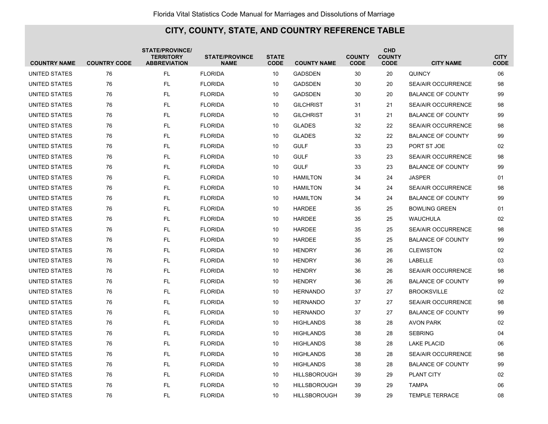| <b>COUNTRY NAME</b>  | <b>COUNTRY CODE</b> | <b>STATE/PROVINCE/</b><br><b>TERRITORY</b><br><b>ABBREVIATION</b> | <b>STATE/PROVINCE</b><br><b>NAME</b> | <b>STATE</b><br><b>CODE</b> | <b>COUNTY NAME</b>  | <b>COUNTY</b><br><b>CODE</b> | <b>CHD</b><br><b>COUNTY</b><br><b>CODE</b> | <b>CITY NAME</b>          | <b>CITY</b><br><b>CODE</b> |
|----------------------|---------------------|-------------------------------------------------------------------|--------------------------------------|-----------------------------|---------------------|------------------------------|--------------------------------------------|---------------------------|----------------------------|
| UNITED STATES        | 76                  | FL.                                                               | <b>FLORIDA</b>                       | 10                          | <b>GADSDEN</b>      | 30                           | 20                                         | <b>QUINCY</b>             | 06                         |
| UNITED STATES        | 76                  | <b>FL</b>                                                         | <b>FLORIDA</b>                       | 10                          | <b>GADSDEN</b>      | 30                           | 20                                         | <b>SEA/AIR OCCURRENCE</b> | 98                         |
| UNITED STATES        | 76                  | <b>FL</b>                                                         | <b>FLORIDA</b>                       | 10                          | <b>GADSDEN</b>      | 30                           | 20                                         | <b>BALANCE OF COUNTY</b>  | 99                         |
| <b>UNITED STATES</b> | 76                  | <b>FL</b>                                                         | <b>FLORIDA</b>                       | 10                          | <b>GILCHRIST</b>    | 31                           | 21                                         | <b>SEA/AIR OCCURRENCE</b> | 98                         |
| UNITED STATES        | 76                  | <b>FL</b>                                                         | <b>FLORIDA</b>                       | 10                          | <b>GILCHRIST</b>    | 31                           | 21                                         | <b>BALANCE OF COUNTY</b>  | 99                         |
| UNITED STATES        | 76                  | <b>FL</b>                                                         | <b>FLORIDA</b>                       | 10                          | <b>GLADES</b>       | 32                           | 22                                         | <b>SEA/AIR OCCURRENCE</b> | 98                         |
| UNITED STATES        | 76                  | FL                                                                | <b>FLORIDA</b>                       | 10                          | <b>GLADES</b>       | 32                           | 22                                         | <b>BALANCE OF COUNTY</b>  | 99                         |
| UNITED STATES        | 76                  | <b>FL</b>                                                         | <b>FLORIDA</b>                       | 10                          | <b>GULF</b>         | 33                           | 23                                         | PORT ST JOE               | 02                         |
| <b>UNITED STATES</b> | 76                  | <b>FL</b>                                                         | <b>FLORIDA</b>                       | 10                          | <b>GULF</b>         | 33                           | 23                                         | <b>SEA/AIR OCCURRENCE</b> | 98                         |
| UNITED STATES        | 76                  | <b>FL</b>                                                         | <b>FLORIDA</b>                       | 10                          | <b>GULF</b>         | 33                           | 23                                         | <b>BALANCE OF COUNTY</b>  | 99                         |
| UNITED STATES        | 76                  | <b>FL</b>                                                         | <b>FLORIDA</b>                       | 10                          | <b>HAMILTON</b>     | 34                           | 24                                         | <b>JASPER</b>             | 01                         |
| UNITED STATES        | 76                  | <b>FL</b>                                                         | <b>FLORIDA</b>                       | 10                          | <b>HAMILTON</b>     | 34                           | 24                                         | <b>SEA/AIR OCCURRENCE</b> | 98                         |
| UNITED STATES        | 76                  | FL.                                                               | <b>FLORIDA</b>                       | 10                          | <b>HAMILTON</b>     | 34                           | 24                                         | <b>BALANCE OF COUNTY</b>  | 99                         |
| UNITED STATES        | 76                  | FL                                                                | <b>FLORIDA</b>                       | 10                          | <b>HARDEE</b>       | 35                           | 25                                         | <b>BOWLING GREEN</b>      | 01                         |
| UNITED STATES        | 76                  | FL                                                                | <b>FLORIDA</b>                       | 10                          | <b>HARDEE</b>       | 35                           | 25                                         | <b>WAUCHULA</b>           | 02                         |
| UNITED STATES        | 76                  | <b>FL</b>                                                         | <b>FLORIDA</b>                       | 10                          | <b>HARDEE</b>       | 35                           | 25                                         | <b>SEA/AIR OCCURRENCE</b> | 98                         |
| UNITED STATES        | 76                  | <b>FL</b>                                                         | <b>FLORIDA</b>                       | 10                          | <b>HARDEE</b>       | 35                           | 25                                         | <b>BALANCE OF COUNTY</b>  | 99                         |
| UNITED STATES        | 76                  | <b>FL</b>                                                         | <b>FLORIDA</b>                       | 10                          | <b>HENDRY</b>       | 36                           | 26                                         | <b>CLEWISTON</b>          | 02                         |
| UNITED STATES        | 76                  | FL.                                                               | <b>FLORIDA</b>                       | 10                          | <b>HENDRY</b>       | 36                           | 26                                         | LABELLE                   | 03                         |
| UNITED STATES        | 76                  | <b>FL</b>                                                         | <b>FLORIDA</b>                       | 10                          | <b>HENDRY</b>       | 36                           | 26                                         | <b>SEA/AIR OCCURRENCE</b> | 98                         |
| UNITED STATES        | 76                  | FL                                                                | <b>FLORIDA</b>                       | 10                          | <b>HENDRY</b>       | 36                           | 26                                         | <b>BALANCE OF COUNTY</b>  | 99                         |
| UNITED STATES        | 76                  | <b>FL</b>                                                         | <b>FLORIDA</b>                       | 10                          | <b>HERNANDO</b>     | 37                           | 27                                         | <b>BROOKSVILLE</b>        | 02                         |
| UNITED STATES        | 76                  | <b>FL</b>                                                         | <b>FLORIDA</b>                       | 10                          | <b>HERNANDO</b>     | 37                           | 27                                         | <b>SEA/AIR OCCURRENCE</b> | 98                         |
| <b>UNITED STATES</b> | 76                  | <b>FL</b>                                                         | <b>FLORIDA</b>                       | 10                          | <b>HERNANDO</b>     | 37                           | 27                                         | <b>BALANCE OF COUNTY</b>  | 99                         |
| UNITED STATES        | 76                  | <b>FL</b>                                                         | <b>FLORIDA</b>                       | 10                          | <b>HIGHLANDS</b>    | 38                           | 28                                         | <b>AVON PARK</b>          | 02                         |
| UNITED STATES        | 76                  | FL                                                                | <b>FLORIDA</b>                       | 10                          | <b>HIGHLANDS</b>    | 38                           | 28                                         | <b>SEBRING</b>            | 04                         |
| UNITED STATES        | 76                  | <b>FL</b>                                                         | <b>FLORIDA</b>                       | 10                          | <b>HIGHLANDS</b>    | 38                           | 28                                         | <b>LAKE PLACID</b>        | 06                         |
| UNITED STATES        | 76                  | <b>FL</b>                                                         | <b>FLORIDA</b>                       | 10                          | <b>HIGHLANDS</b>    | 38                           | 28                                         | <b>SEA/AIR OCCURRENCE</b> | 98                         |
| <b>UNITED STATES</b> | 76                  | <b>FL</b>                                                         | <b>FLORIDA</b>                       | 10                          | <b>HIGHLANDS</b>    | 38                           | 28                                         | <b>BALANCE OF COUNTY</b>  | 99                         |
| UNITED STATES        | 76                  | <b>FL</b>                                                         | <b>FLORIDA</b>                       | 10                          | <b>HILLSBOROUGH</b> | 39                           | 29                                         | PLANT CITY                | 02                         |
| UNITED STATES        | 76                  | <b>FL</b>                                                         | <b>FLORIDA</b>                       | 10                          | <b>HILLSBOROUGH</b> | 39                           | 29                                         | <b>TAMPA</b>              | 06                         |
| UNITED STATES        | 76                  | <b>FL</b>                                                         | <b>FLORIDA</b>                       | 10                          | <b>HILLSBOROUGH</b> | 39                           | 29                                         | <b>TEMPLE TERRACE</b>     | 08                         |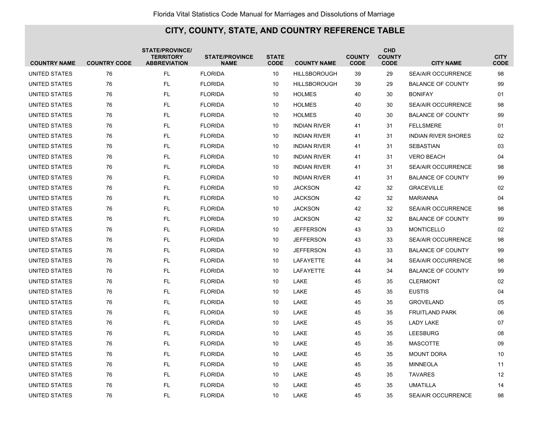| <b>COUNTRY NAME</b>  | <b>COUNTRY CODE</b> | <b>STATE/PROVINCE/</b><br><b>TERRITORY</b><br><b>ABBREVIATION</b> | <b>STATE/PROVINCE</b><br><b>NAME</b> | <b>STATE</b><br><b>CODE</b> | <b>COUNTY NAME</b>  | <b>COUNTY</b><br><b>CODE</b> | <b>CHD</b><br><b>COUNTY</b><br><b>CODE</b> | <b>CITY NAME</b>           | <b>CITY</b><br><b>CODE</b> |
|----------------------|---------------------|-------------------------------------------------------------------|--------------------------------------|-----------------------------|---------------------|------------------------------|--------------------------------------------|----------------------------|----------------------------|
| UNITED STATES        | 76                  | <b>FL</b>                                                         | <b>FLORIDA</b>                       | 10                          | <b>HILLSBOROUGH</b> | 39                           | 29                                         | <b>SEA/AIR OCCURRENCE</b>  | 98                         |
| UNITED STATES        | 76                  | <b>FL</b>                                                         | <b>FLORIDA</b>                       | 10                          | <b>HILLSBOROUGH</b> | 39                           | 29                                         | <b>BALANCE OF COUNTY</b>   | 99                         |
| UNITED STATES        | 76                  | <b>FL</b>                                                         | <b>FLORIDA</b>                       | 10                          | <b>HOLMES</b>       | 40                           | 30                                         | <b>BONIFAY</b>             | 01                         |
| UNITED STATES        | 76                  | FL.                                                               | <b>FLORIDA</b>                       | 10                          | <b>HOLMES</b>       | 40                           | 30                                         | SEA/AIR OCCURRENCE         | 98                         |
| UNITED STATES        | 76                  | <b>FL</b>                                                         | <b>FLORIDA</b>                       | 10                          | <b>HOLMES</b>       | 40                           | 30                                         | <b>BALANCE OF COUNTY</b>   | 99                         |
| UNITED STATES        | 76                  | <b>FL</b>                                                         | <b>FLORIDA</b>                       | 10                          | <b>INDIAN RIVER</b> | 41                           | 31                                         | <b>FELLSMERE</b>           | 01                         |
| UNITED STATES        | 76                  | <b>FL</b>                                                         | <b>FLORIDA</b>                       | 10                          | <b>INDIAN RIVER</b> | 41                           | 31                                         | <b>INDIAN RIVER SHORES</b> | 02                         |
| UNITED STATES        | 76                  | <b>FL</b>                                                         | <b>FLORIDA</b>                       | 10                          | <b>INDIAN RIVER</b> | 41                           | 31                                         | <b>SEBASTIAN</b>           | 03                         |
| UNITED STATES        | 76                  | <b>FL</b>                                                         | <b>FLORIDA</b>                       | 10                          | <b>INDIAN RIVER</b> | 41                           | 31                                         | <b>VERO BEACH</b>          | 04                         |
| UNITED STATES        | 76                  | <b>FL</b>                                                         | <b>FLORIDA</b>                       | 10                          | <b>INDIAN RIVER</b> | 41                           | 31                                         | <b>SEA/AIR OCCURRENCE</b>  | 98                         |
| UNITED STATES        | 76                  | <b>FL</b>                                                         | <b>FLORIDA</b>                       | 10                          | <b>INDIAN RIVER</b> | 41                           | 31                                         | <b>BALANCE OF COUNTY</b>   | 99                         |
| UNITED STATES        | 76                  | FL.                                                               | <b>FLORIDA</b>                       | 10                          | <b>JACKSON</b>      | 42                           | 32                                         | <b>GRACEVILLE</b>          | 02                         |
| UNITED STATES        | 76                  | <b>FL</b>                                                         | <b>FLORIDA</b>                       | 10                          | <b>JACKSON</b>      | 42                           | 32                                         | <b>MARIANNA</b>            | 04                         |
| UNITED STATES        | 76                  | FL                                                                | <b>FLORIDA</b>                       | 10                          | <b>JACKSON</b>      | 42                           | 32                                         | <b>SEA/AIR OCCURRENCE</b>  | 98                         |
| UNITED STATES        | 76                  | <b>FL</b>                                                         | <b>FLORIDA</b>                       | 10                          | <b>JACKSON</b>      | 42                           | 32                                         | <b>BALANCE OF COUNTY</b>   | 99                         |
| UNITED STATES        | 76                  | <b>FL</b>                                                         | <b>FLORIDA</b>                       | 10                          | <b>JEFFERSON</b>    | 43                           | 33                                         | <b>MONTICELLO</b>          | 02                         |
| UNITED STATES        | 76                  | <b>FL</b>                                                         | <b>FLORIDA</b>                       | 10                          | <b>JEFFERSON</b>    | 43                           | 33                                         | <b>SEA/AIR OCCURRENCE</b>  | 98                         |
| UNITED STATES        | 76                  | FL.                                                               | <b>FLORIDA</b>                       | 10                          | <b>JEFFERSON</b>    | 43                           | 33                                         | <b>BALANCE OF COUNTY</b>   | 99                         |
| <b>UNITED STATES</b> | 76                  | <b>FL</b>                                                         | <b>FLORIDA</b>                       | 10                          | <b>LAFAYETTE</b>    | 44                           | 34                                         | <b>SEA/AIR OCCURRENCE</b>  | 98                         |
| UNITED STATES        | 76                  | <b>FL</b>                                                         | <b>FLORIDA</b>                       | 10                          | <b>LAFAYETTE</b>    | 44                           | 34                                         | <b>BALANCE OF COUNTY</b>   | 99                         |
| UNITED STATES        | 76                  | <b>FL</b>                                                         | <b>FLORIDA</b>                       | 10                          | LAKE                | 45                           | 35                                         | <b>CLERMONT</b>            | 02                         |
| UNITED STATES        | 76                  | <b>FL</b>                                                         | <b>FLORIDA</b>                       | 10                          | LAKE                | 45                           | 35                                         | <b>EUSTIS</b>              | 04                         |
| UNITED STATES        | 76                  | FL                                                                | <b>FLORIDA</b>                       | 10                          | LAKE                | 45                           | 35                                         | <b>GROVELAND</b>           | 05                         |
| <b>UNITED STATES</b> | 76                  | FL                                                                | <b>FLORIDA</b>                       | 10                          | LAKE                | 45                           | 35                                         | <b>FRUITLAND PARK</b>      | 06                         |
| UNITED STATES        | 76                  | <b>FL</b>                                                         | <b>FLORIDA</b>                       | 10                          | LAKE                | 45                           | 35                                         | <b>LADY LAKE</b>           | 07                         |
| UNITED STATES        | 76                  | <b>FL</b>                                                         | <b>FLORIDA</b>                       | 10                          | LAKE                | 45                           | 35                                         | <b>LEESBURG</b>            | 08                         |
| UNITED STATES        | 76                  | FL.                                                               | <b>FLORIDA</b>                       | 10                          | LAKE                | 45                           | 35                                         | <b>MASCOTTE</b>            | 09                         |
| UNITED STATES        | 76                  | FL                                                                | <b>FLORIDA</b>                       | 10                          | LAKE                | 45                           | 35                                         | <b>MOUNT DORA</b>          | 10                         |
| <b>UNITED STATES</b> | 76                  | <b>FL</b>                                                         | <b>FLORIDA</b>                       | 10                          | LAKE                | 45                           | 35                                         | <b>MINNEOLA</b>            | 11                         |
| UNITED STATES        | 76                  | <b>FL</b>                                                         | <b>FLORIDA</b>                       | 10                          | LAKE                | 45                           | 35                                         | <b>TAVARES</b>             | 12                         |
| UNITED STATES        | 76                  | <b>FL</b>                                                         | <b>FLORIDA</b>                       | 10                          | LAKE                | 45                           | 35                                         | <b>UMATILLA</b>            | 14                         |
| UNITED STATES        | 76                  | FL.                                                               | <b>FLORIDA</b>                       | 10                          | LAKE                | 45                           | 35                                         | <b>SEA/AIR OCCURRENCE</b>  | 98                         |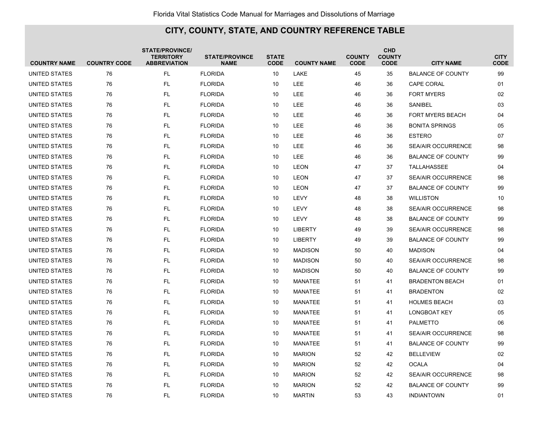| <b>COUNTRY NAME</b>  | <b>COUNTRY CODE</b> | <b>STATE/PROVINCE/</b><br><b>TERRITORY</b><br><b>ABBREVIATION</b> | <b>STATE/PROVINCE</b><br><b>NAME</b> | <b>STATE</b><br><b>CODE</b> | <b>COUNTY NAME</b> | <b>COUNTY</b><br><b>CODE</b> | <b>CHD</b><br><b>COUNTY</b><br><b>CODE</b> | <b>CITY NAME</b>          | <b>CITY</b><br><b>CODE</b> |
|----------------------|---------------------|-------------------------------------------------------------------|--------------------------------------|-----------------------------|--------------------|------------------------------|--------------------------------------------|---------------------------|----------------------------|
| UNITED STATES        | 76                  | FL                                                                | <b>FLORIDA</b>                       | 10                          | LAKE               | 45                           | 35                                         | <b>BALANCE OF COUNTY</b>  | 99                         |
| UNITED STATES        | 76                  | <b>FL</b>                                                         | <b>FLORIDA</b>                       | 10                          | LEE                | 46                           | 36                                         | <b>CAPE CORAL</b>         | 01                         |
| UNITED STATES        | 76                  | <b>FL</b>                                                         | <b>FLORIDA</b>                       | 10                          | LEE                | 46                           | 36                                         | <b>FORT MYERS</b>         | 02                         |
| UNITED STATES        | 76                  | <b>FL</b>                                                         | <b>FLORIDA</b>                       | 10                          | LEE                | 46                           | 36                                         | SANIBEL                   | 03                         |
| UNITED STATES        | 76                  | <b>FL</b>                                                         | <b>FLORIDA</b>                       | 10                          | LEE                | 46                           | 36                                         | <b>FORT MYERS BEACH</b>   | 04                         |
| UNITED STATES        | 76                  | FL                                                                | <b>FLORIDA</b>                       | 10                          | LEE                | 46                           | 36                                         | <b>BONITA SPRINGS</b>     | 05                         |
| UNITED STATES        | 76                  | <b>FL</b>                                                         | <b>FLORIDA</b>                       | 10                          | LEE                | 46                           | 36                                         | <b>ESTERO</b>             | 07                         |
| UNITED STATES        | 76                  | <b>FL</b>                                                         | <b>FLORIDA</b>                       | 10                          | LEE                | 46                           | 36                                         | <b>SEA/AIR OCCURRENCE</b> | 98                         |
| UNITED STATES        | 76                  | <b>FL</b>                                                         | <b>FLORIDA</b>                       | 10                          | LEE                | 46                           | 36                                         | <b>BALANCE OF COUNTY</b>  | 99                         |
| UNITED STATES        | 76                  | <b>FL</b>                                                         | <b>FLORIDA</b>                       | 10                          | <b>LEON</b>        | 47                           | 37                                         | TALLAHASSEE               | 04                         |
| UNITED STATES        | 76                  | <b>FL</b>                                                         | <b>FLORIDA</b>                       | 10                          | LEON               | 47                           | 37                                         | <b>SEA/AIR OCCURRENCE</b> | 98                         |
| UNITED STATES        | 76                  | <b>FL</b>                                                         | <b>FLORIDA</b>                       | 10                          | LEON               | 47                           | 37                                         | <b>BALANCE OF COUNTY</b>  | 99                         |
| UNITED STATES        | 76                  | <b>FL</b>                                                         | <b>FLORIDA</b>                       | 10                          | LEVY               | 48                           | 38                                         | <b>WILLISTON</b>          | 10                         |
| UNITED STATES        | 76                  | <b>FL</b>                                                         | <b>FLORIDA</b>                       | 10                          | LEVY               | 48                           | 38                                         | <b>SEA/AIR OCCURRENCE</b> | 98                         |
| UNITED STATES        | 76                  | <b>FL</b>                                                         | <b>FLORIDA</b>                       | 10                          | LEVY               | 48                           | 38                                         | <b>BALANCE OF COUNTY</b>  | 99                         |
| UNITED STATES        | 76                  | <b>FL</b>                                                         | <b>FLORIDA</b>                       | 10                          | <b>LIBERTY</b>     | 49                           | 39                                         | <b>SEA/AIR OCCURRENCE</b> | 98                         |
| <b>UNITED STATES</b> | 76                  | <b>FL</b>                                                         | <b>FLORIDA</b>                       | 10                          | <b>LIBERTY</b>     | 49                           | 39                                         | <b>BALANCE OF COUNTY</b>  | 99                         |
| UNITED STATES        | 76                  | <b>FL</b>                                                         | <b>FLORIDA</b>                       | 10                          | <b>MADISON</b>     | 50                           | 40                                         | <b>MADISON</b>            | 04                         |
| UNITED STATES        | 76                  | <b>FL</b>                                                         | <b>FLORIDA</b>                       | 10                          | <b>MADISON</b>     | 50                           | 40                                         | <b>SEA/AIR OCCURRENCE</b> | 98                         |
| UNITED STATES        | 76                  | <b>FL</b>                                                         | <b>FLORIDA</b>                       | 10                          | <b>MADISON</b>     | 50                           | 40                                         | <b>BALANCE OF COUNTY</b>  | 99                         |
| UNITED STATES        | 76                  | <b>FL</b>                                                         | <b>FLORIDA</b>                       | 10                          | MANATEE            | 51                           | 41                                         | <b>BRADENTON BEACH</b>    | 01                         |
| UNITED STATES        | 76                  | <b>FL</b>                                                         | <b>FLORIDA</b>                       | 10                          | MANATEE            | 51                           | 41                                         | <b>BRADENTON</b>          | 02                         |
| UNITED STATES        | 76                  | <b>FL</b>                                                         | <b>FLORIDA</b>                       | 10                          | MANATEE            | 51                           | 41                                         | <b>HOLMES BEACH</b>       | 03                         |
| UNITED STATES        | 76                  | <b>FL</b>                                                         | <b>FLORIDA</b>                       | 10                          | <b>MANATEE</b>     | 51                           | 41                                         | <b>LONGBOAT KEY</b>       | 05                         |
| UNITED STATES        | 76                  | <b>FL</b>                                                         | <b>FLORIDA</b>                       | 10                          | <b>MANATEE</b>     | 51                           | 41                                         | <b>PALMETTO</b>           | 06                         |
| UNITED STATES        | 76                  | <b>FL</b>                                                         | <b>FLORIDA</b>                       | 10                          | <b>MANATEE</b>     | 51                           | 41                                         | <b>SEA/AIR OCCURRENCE</b> | 98                         |
| UNITED STATES        | 76                  | <b>FL</b>                                                         | <b>FLORIDA</b>                       | 10                          | <b>MANATEE</b>     | 51                           | 41                                         | <b>BALANCE OF COUNTY</b>  | 99                         |
| UNITED STATES        | 76                  | <b>FL</b>                                                         | <b>FLORIDA</b>                       | 10                          | <b>MARION</b>      | 52                           | 42                                         | <b>BELLEVIEW</b>          | 02                         |
| UNITED STATES        | 76                  | <b>FL</b>                                                         | <b>FLORIDA</b>                       | 10                          | <b>MARION</b>      | 52                           | 42                                         | <b>OCALA</b>              | 04                         |
| UNITED STATES        | 76                  | <b>FL</b>                                                         | <b>FLORIDA</b>                       | 10                          | <b>MARION</b>      | 52                           | 42                                         | <b>SEA/AIR OCCURRENCE</b> | 98                         |
| UNITED STATES        | 76                  | FL                                                                | <b>FLORIDA</b>                       | 10                          | <b>MARION</b>      | 52                           | 42                                         | <b>BALANCE OF COUNTY</b>  | 99                         |
| UNITED STATES        | 76                  | <b>FL</b>                                                         | <b>FLORIDA</b>                       | 10                          | <b>MARTIN</b>      | 53                           | 43                                         | <b>INDIANTOWN</b>         | 01                         |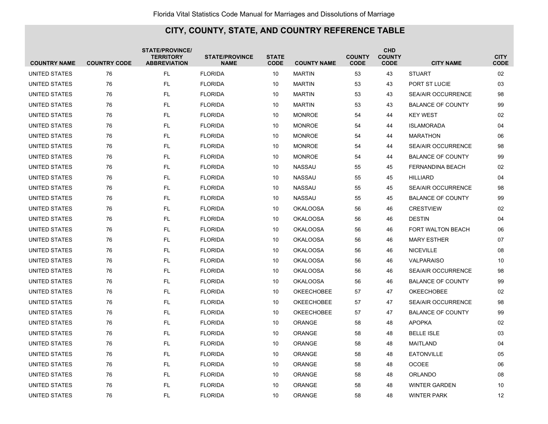| <b>COUNTRY NAME</b>  | <b>COUNTRY CODE</b> | <b>STATE/PROVINCE/</b><br><b>TERRITORY</b><br><b>ABBREVIATION</b> | <b>STATE/PROVINCE</b><br><b>NAME</b> | <b>STATE</b><br><b>CODE</b> | <b>COUNTY NAME</b> | <b>COUNTY</b><br><b>CODE</b> | <b>CHD</b><br><b>COUNTY</b><br><b>CODE</b> | <b>CITY NAME</b>          | <b>CITY</b><br><b>CODE</b> |
|----------------------|---------------------|-------------------------------------------------------------------|--------------------------------------|-----------------------------|--------------------|------------------------------|--------------------------------------------|---------------------------|----------------------------|
| UNITED STATES        | 76                  | FL                                                                | <b>FLORIDA</b>                       | 10                          | <b>MARTIN</b>      | 53                           | 43                                         | <b>STUART</b>             | 02                         |
| UNITED STATES        | 76                  | <b>FL</b>                                                         | <b>FLORIDA</b>                       | 10                          | <b>MARTIN</b>      | 53                           | 43                                         | PORT ST LUCIE             | 03                         |
| UNITED STATES        | 76                  | <b>FL</b>                                                         | <b>FLORIDA</b>                       | 10                          | <b>MARTIN</b>      | 53                           | 43                                         | <b>SEA/AIR OCCURRENCE</b> | 98                         |
| UNITED STATES        | 76                  | <b>FL</b>                                                         | <b>FLORIDA</b>                       | 10                          | <b>MARTIN</b>      | 53                           | 43                                         | <b>BALANCE OF COUNTY</b>  | 99                         |
| UNITED STATES        | 76                  | <b>FL</b>                                                         | <b>FLORIDA</b>                       | 10                          | <b>MONROE</b>      | 54                           | 44                                         | <b>KEY WEST</b>           | 02                         |
| UNITED STATES        | 76                  | <b>FL</b>                                                         | <b>FLORIDA</b>                       | 10                          | <b>MONROE</b>      | 54                           | 44                                         | <b>ISLAMORADA</b>         | 04                         |
| UNITED STATES        | 76                  | <b>FL</b>                                                         | <b>FLORIDA</b>                       | 10                          | <b>MONROE</b>      | 54                           | 44                                         | <b>MARATHON</b>           | 06                         |
| UNITED STATES        | 76                  | <b>FL</b>                                                         | <b>FLORIDA</b>                       | 10                          | <b>MONROE</b>      | 54                           | 44                                         | <b>SEA/AIR OCCURRENCE</b> | 98                         |
| UNITED STATES        | 76                  | <b>FL</b>                                                         | <b>FLORIDA</b>                       | 10                          | <b>MONROE</b>      | 54                           | 44                                         | <b>BALANCE OF COUNTY</b>  | 99                         |
| UNITED STATES        | 76                  | <b>FL</b>                                                         | <b>FLORIDA</b>                       | 10                          | <b>NASSAU</b>      | 55                           | 45                                         | FERNANDINA BEACH          | 02                         |
| UNITED STATES        | 76                  | <b>FL</b>                                                         | <b>FLORIDA</b>                       | 10                          | <b>NASSAU</b>      | 55                           | 45                                         | <b>HILLIARD</b>           | 04                         |
| UNITED STATES        | 76                  | <b>FL</b>                                                         | <b>FLORIDA</b>                       | 10                          | <b>NASSAU</b>      | 55                           | 45                                         | <b>SEA/AIR OCCURRENCE</b> | 98                         |
| UNITED STATES        | 76                  | <b>FL</b>                                                         | <b>FLORIDA</b>                       | 10                          | <b>NASSAU</b>      | 55                           | 45                                         | <b>BALANCE OF COUNTY</b>  | 99                         |
| UNITED STATES        | 76                  | <b>FL</b>                                                         | <b>FLORIDA</b>                       | 10                          | <b>OKALOOSA</b>    | 56                           | 46                                         | <b>CRESTVIEW</b>          | 02                         |
| UNITED STATES        | 76                  | <b>FL</b>                                                         | <b>FLORIDA</b>                       | 10                          | <b>OKALOOSA</b>    | 56                           | 46                                         | <b>DESTIN</b>             | 04                         |
| UNITED STATES        | 76                  | <b>FL</b>                                                         | <b>FLORIDA</b>                       | 10                          | <b>OKALOOSA</b>    | 56                           | 46                                         | <b>FORT WALTON BEACH</b>  | 06                         |
| UNITED STATES        | 76                  | <b>FL</b>                                                         | <b>FLORIDA</b>                       | 10                          | <b>OKALOOSA</b>    | 56                           | 46                                         | <b>MARY ESTHER</b>        | 07                         |
| UNITED STATES        | 76                  | <b>FL</b>                                                         | <b>FLORIDA</b>                       | 10                          | <b>OKALOOSA</b>    | 56                           | 46                                         | <b>NICEVILLE</b>          | 08                         |
| UNITED STATES        | 76                  | <b>FL</b>                                                         | <b>FLORIDA</b>                       | 10                          | <b>OKALOOSA</b>    | 56                           | 46                                         | <b>VALPARAISO</b>         | 10                         |
| UNITED STATES        | 76                  | <b>FL</b>                                                         | <b>FLORIDA</b>                       | 10                          | <b>OKALOOSA</b>    | 56                           | 46                                         | <b>SEA/AIR OCCURRENCE</b> | 98                         |
| UNITED STATES        | 76                  | <b>FL</b>                                                         | <b>FLORIDA</b>                       | 10                          | <b>OKALOOSA</b>    | 56                           | 46                                         | <b>BALANCE OF COUNTY</b>  | 99                         |
| UNITED STATES        | 76                  | <b>FL</b>                                                         | <b>FLORIDA</b>                       | 10                          | <b>OKEECHOBEE</b>  | 57                           | 47                                         | <b>OKEECHOBEE</b>         | 02                         |
| UNITED STATES        | 76                  | <b>FL</b>                                                         | <b>FLORIDA</b>                       | 10                          | <b>OKEECHOBEE</b>  | 57                           | 47                                         | <b>SEA/AIR OCCURRENCE</b> | 98                         |
| UNITED STATES        | 76                  | <b>FL</b>                                                         | <b>FLORIDA</b>                       | 10                          | <b>OKEECHOBEE</b>  | 57                           | 47                                         | <b>BALANCE OF COUNTY</b>  | 99                         |
| UNITED STATES        | 76                  | <b>FL</b>                                                         | <b>FLORIDA</b>                       | 10                          | ORANGE             | 58                           | 48                                         | <b>APOPKA</b>             | 02                         |
| UNITED STATES        | 76                  | <b>FL</b>                                                         | <b>FLORIDA</b>                       | 10                          | ORANGE             | 58                           | 48                                         | <b>BELLE ISLE</b>         | 03                         |
| UNITED STATES        | 76                  | <b>FL</b>                                                         | <b>FLORIDA</b>                       | 10                          | <b>ORANGE</b>      | 58                           | 48                                         | <b>MAITLAND</b>           | 04                         |
| UNITED STATES        | 76                  | <b>FL</b>                                                         | <b>FLORIDA</b>                       | 10                          | <b>ORANGE</b>      | 58                           | 48                                         | <b>EATONVILLE</b>         | 05                         |
| UNITED STATES        | 76                  | <b>FL</b>                                                         | <b>FLORIDA</b>                       | 10                          | <b>ORANGE</b>      | 58                           | 48                                         | <b>OCOEE</b>              | 06                         |
| <b>UNITED STATES</b> | 76                  | <b>FL</b>                                                         | <b>FLORIDA</b>                       | 10                          | <b>ORANGE</b>      | 58                           | 48                                         | <b>ORLANDO</b>            | 08                         |
| UNITED STATES        | 76                  | <b>FL</b>                                                         | <b>FLORIDA</b>                       | 10                          | ORANGE             | 58                           | 48                                         | <b>WINTER GARDEN</b>      | 10                         |
| UNITED STATES        | 76                  | <b>FL</b>                                                         | <b>FLORIDA</b>                       | 10                          | ORANGE             | 58                           | 48                                         | <b>WINTER PARK</b>        | 12                         |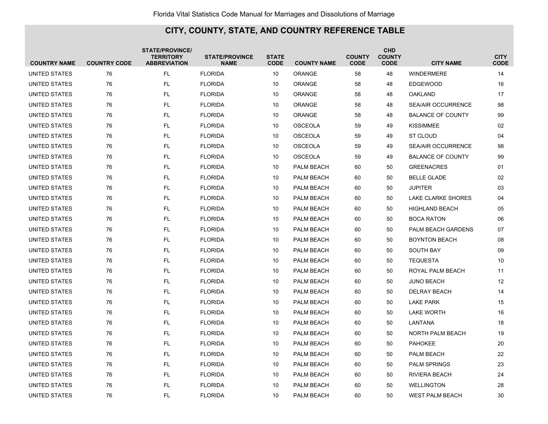| <b>COUNTRY NAME</b> | <b>COUNTRY CODE</b> | <b>STATE/PROVINCE/</b><br><b>TERRITORY</b><br><b>ABBREVIATION</b> | <b>STATE/PROVINCE</b><br><b>NAME</b> | <b>STATE</b><br><b>CODE</b> | <b>COUNTY NAME</b> | <b>COUNTY</b><br><b>CODE</b> | <b>CHD</b><br><b>COUNTY</b><br><b>CODE</b> | <b>CITY NAME</b>          | <b>CITY</b><br><b>CODE</b> |
|---------------------|---------------------|-------------------------------------------------------------------|--------------------------------------|-----------------------------|--------------------|------------------------------|--------------------------------------------|---------------------------|----------------------------|
| UNITED STATES       | 76                  | <b>FL</b>                                                         | <b>FLORIDA</b>                       | 10                          | ORANGE             | 58                           | 48                                         | <b>WINDERMERE</b>         | 14                         |
| UNITED STATES       | 76                  | <b>FL</b>                                                         | <b>FLORIDA</b>                       | 10                          | <b>ORANGE</b>      | 58                           | 48                                         | <b>EDGEWOOD</b>           | 16                         |
| UNITED STATES       | 76                  | <b>FL</b>                                                         | <b>FLORIDA</b>                       | 10                          | <b>ORANGE</b>      | 58                           | 48                                         | <b>OAKLAND</b>            | 17                         |
| UNITED STATES       | 76                  | <b>FL</b>                                                         | <b>FLORIDA</b>                       | 10                          | <b>ORANGE</b>      | 58                           | 48                                         | <b>SEA/AIR OCCURRENCE</b> | 98                         |
| UNITED STATES       | 76                  | <b>FL</b>                                                         | <b>FLORIDA</b>                       | 10                          | <b>ORANGE</b>      | 58                           | 48                                         | <b>BALANCE OF COUNTY</b>  | 99                         |
| UNITED STATES       | 76                  | <b>FL</b>                                                         | <b>FLORIDA</b>                       | 10                          | <b>OSCEOLA</b>     | 59                           | 49                                         | <b>KISSIMMEE</b>          | 02                         |
| UNITED STATES       | 76                  | <b>FL</b>                                                         | <b>FLORIDA</b>                       | 10                          | <b>OSCEOLA</b>     | 59                           | 49                                         | <b>ST CLOUD</b>           | 04                         |
| UNITED STATES       | 76                  | <b>FL</b>                                                         | <b>FLORIDA</b>                       | 10                          | <b>OSCEOLA</b>     | 59                           | 49                                         | SEA/AIR OCCURRENCE        | 98                         |
| UNITED STATES       | 76                  | <b>FL</b>                                                         | <b>FLORIDA</b>                       | 10                          | <b>OSCEOLA</b>     | 59                           | 49                                         | <b>BALANCE OF COUNTY</b>  | 99                         |
| UNITED STATES       | 76                  | <b>FL</b>                                                         | <b>FLORIDA</b>                       | 10                          | PALM BEACH         | 60                           | 50                                         | <b>GREENACRES</b>         | 01                         |
| UNITED STATES       | 76                  | <b>FL</b>                                                         | <b>FLORIDA</b>                       | 10                          | PALM BEACH         | 60                           | 50                                         | <b>BELLE GLADE</b>        | 02                         |
| UNITED STATES       | 76                  | <b>FL</b>                                                         | <b>FLORIDA</b>                       | 10                          | PALM BEACH         | 60                           | 50                                         | <b>JUPITER</b>            | 03                         |
| UNITED STATES       | 76                  | <b>FL</b>                                                         | <b>FLORIDA</b>                       | 10                          | PALM BEACH         | 60                           | 50                                         | <b>LAKE CLARKE SHORES</b> | 04                         |
| UNITED STATES       | 76                  | <b>FL</b>                                                         | <b>FLORIDA</b>                       | 10                          | PALM BEACH         | 60                           | 50                                         | <b>HIGHLAND BEACH</b>     | 05                         |
| UNITED STATES       | 76                  | <b>FL</b>                                                         | <b>FLORIDA</b>                       | 10                          | PALM BEACH         | 60                           | 50                                         | <b>BOCA RATON</b>         | 06                         |
| UNITED STATES       | 76                  | <b>FL</b>                                                         | <b>FLORIDA</b>                       | 10                          | PALM BEACH         | 60                           | 50                                         | PALM BEACH GARDENS        | 07                         |
| UNITED STATES       | 76                  | <b>FL</b>                                                         | <b>FLORIDA</b>                       | 10                          | PALM BEACH         | 60                           | 50                                         | <b>BOYNTON BEACH</b>      | 08                         |
| UNITED STATES       | 76                  | <b>FL</b>                                                         | <b>FLORIDA</b>                       | 10                          | PALM BEACH         | 60                           | 50                                         | <b>SOUTH BAY</b>          | 09                         |
| UNITED STATES       | 76                  | <b>FL</b>                                                         | <b>FLORIDA</b>                       | 10                          | PALM BEACH         | 60                           | 50                                         | <b>TEQUESTA</b>           | 10                         |
| UNITED STATES       | 76                  | <b>FL</b>                                                         | <b>FLORIDA</b>                       | 10                          | PALM BEACH         | 60                           | 50                                         | ROYAL PALM BEACH          | 11                         |
| UNITED STATES       | 76                  | <b>FL</b>                                                         | <b>FLORIDA</b>                       | 10                          | PALM BEACH         | 60                           | 50                                         | <b>JUNO BEACH</b>         | 12                         |
| UNITED STATES       | 76                  | <b>FL</b>                                                         | <b>FLORIDA</b>                       | 10                          | PALM BEACH         | 60                           | 50                                         | <b>DELRAY BEACH</b>       | 14                         |
| UNITED STATES       | 76                  | <b>FL</b>                                                         | <b>FLORIDA</b>                       | 10                          | PALM BEACH         | 60                           | 50                                         | <b>LAKE PARK</b>          | 15                         |
| UNITED STATES       | 76                  | <b>FL</b>                                                         | <b>FLORIDA</b>                       | 10                          | PALM BEACH         | 60                           | 50                                         | <b>LAKE WORTH</b>         | 16                         |
| UNITED STATES       | 76                  | <b>FL</b>                                                         | <b>FLORIDA</b>                       | 10                          | PALM BEACH         | 60                           | 50                                         | LANTANA                   | 18                         |
| UNITED STATES       | 76                  | <b>FL</b>                                                         | <b>FLORIDA</b>                       | 10                          | PALM BEACH         | 60                           | 50                                         | <b>NORTH PALM BEACH</b>   | 19                         |
| UNITED STATES       | 76                  | <b>FL</b>                                                         | <b>FLORIDA</b>                       | 10                          | PALM BEACH         | 60                           | 50                                         | <b>PAHOKEE</b>            | 20                         |
| UNITED STATES       | 76                  | <b>FL</b>                                                         | <b>FLORIDA</b>                       | 10                          | PALM BEACH         | 60                           | 50                                         | PALM BEACH                | 22                         |
| UNITED STATES       | 76                  | <b>FL</b>                                                         | <b>FLORIDA</b>                       | 10                          | PALM BEACH         | 60                           | 50                                         | <b>PALM SPRINGS</b>       | 23                         |
| UNITED STATES       | 76                  | <b>FL</b>                                                         | <b>FLORIDA</b>                       | 10                          | PALM BEACH         | 60                           | 50                                         | RIVIERA BEACH             | 24                         |
| UNITED STATES       | 76                  | <b>FL</b>                                                         | <b>FLORIDA</b>                       | 10                          | <b>PALM BEACH</b>  | 60                           | 50                                         | <b>WELLINGTON</b>         | 28                         |
| UNITED STATES       | 76                  | FL.                                                               | <b>FLORIDA</b>                       | 10                          | PALM BEACH         | 60                           | 50                                         | <b>WEST PALM BEACH</b>    | 30                         |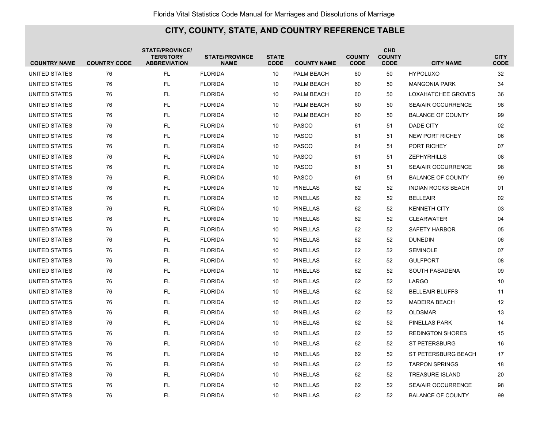| <b>COUNTRY NAME</b>  | <b>COUNTRY CODE</b> | <b>STATE/PROVINCE/</b><br><b>TERRITORY</b><br><b>ABBREVIATION</b> | <b>STATE/PROVINCE</b><br><b>NAME</b> | <b>STATE</b><br><b>CODE</b> | <b>COUNTY NAME</b> | <b>COUNTY</b><br><b>CODE</b> | <b>CHD</b><br><b>COUNTY</b><br><b>CODE</b> | <b>CITY NAME</b>          | <b>CITY</b><br><b>CODE</b> |
|----------------------|---------------------|-------------------------------------------------------------------|--------------------------------------|-----------------------------|--------------------|------------------------------|--------------------------------------------|---------------------------|----------------------------|
| UNITED STATES        | 76                  | <b>FL</b>                                                         | <b>FLORIDA</b>                       | 10                          | PALM BEACH         | 60                           | 50                                         | <b>HYPOLUXO</b>           | 32                         |
| UNITED STATES        | 76                  | <b>FL</b>                                                         | <b>FLORIDA</b>                       | 10                          | PALM BEACH         | 60                           | 50                                         | <b>MANGONIA PARK</b>      | 34                         |
| UNITED STATES        | 76                  | <b>FL</b>                                                         | <b>FLORIDA</b>                       | 10                          | PALM BEACH         | 60                           | 50                                         | LOXAHATCHEE GROVES        | 36                         |
| UNITED STATES        | 76                  | <b>FL</b>                                                         | <b>FLORIDA</b>                       | 10                          | PALM BEACH         | 60                           | 50                                         | <b>SEA/AIR OCCURRENCE</b> | 98                         |
| UNITED STATES        | 76                  | <b>FL</b>                                                         | <b>FLORIDA</b>                       | 10                          | PALM BEACH         | 60                           | 50                                         | <b>BALANCE OF COUNTY</b>  | 99                         |
| UNITED STATES        | 76                  | <b>FL</b>                                                         | <b>FLORIDA</b>                       | 10                          | <b>PASCO</b>       | 61                           | 51                                         | <b>DADE CITY</b>          | 02                         |
| UNITED STATES        | 76                  | <b>FL</b>                                                         | <b>FLORIDA</b>                       | 10                          | <b>PASCO</b>       | 61                           | 51                                         | <b>NEW PORT RICHEY</b>    | 06                         |
| UNITED STATES        | 76                  | <b>FL</b>                                                         | <b>FLORIDA</b>                       | 10                          | <b>PASCO</b>       | 61                           | 51                                         | PORT RICHEY               | 07                         |
| UNITED STATES        | 76                  | <b>FL</b>                                                         | <b>FLORIDA</b>                       | 10                          | <b>PASCO</b>       | 61                           | 51                                         | <b>ZEPHYRHILLS</b>        | 08                         |
| UNITED STATES        | 76                  | <b>FL</b>                                                         | <b>FLORIDA</b>                       | 10                          | <b>PASCO</b>       | 61                           | 51                                         | <b>SEA/AIR OCCURRENCE</b> | 98                         |
| UNITED STATES        | 76                  | <b>FL</b>                                                         | <b>FLORIDA</b>                       | 10                          | <b>PASCO</b>       | 61                           | 51                                         | <b>BALANCE OF COUNTY</b>  | 99                         |
| <b>UNITED STATES</b> | 76                  | <b>FL</b>                                                         | <b>FLORIDA</b>                       | 10                          | <b>PINELLAS</b>    | 62                           | 52                                         | <b>INDIAN ROCKS BEACH</b> | 01                         |
| UNITED STATES        | 76                  | <b>FL</b>                                                         | <b>FLORIDA</b>                       | 10                          | <b>PINELLAS</b>    | 62                           | 52                                         | <b>BELLEAIR</b>           | 02                         |
| <b>UNITED STATES</b> | 76                  | <b>FL</b>                                                         | <b>FLORIDA</b>                       | 10                          | <b>PINELLAS</b>    | 62                           | 52                                         | <b>KENNETH CITY</b>       | 03                         |
| UNITED STATES        | 76                  | <b>FL</b>                                                         | <b>FLORIDA</b>                       | 10                          | <b>PINELLAS</b>    | 62                           | 52                                         | <b>CLEARWATER</b>         | 04                         |
| UNITED STATES        | 76                  | <b>FL</b>                                                         | <b>FLORIDA</b>                       | 10                          | <b>PINELLAS</b>    | 62                           | 52                                         | SAFETY HARBOR             | 05                         |
| UNITED STATES        | 76                  | <b>FL</b>                                                         | <b>FLORIDA</b>                       | 10                          | <b>PINELLAS</b>    | 62                           | 52                                         | <b>DUNEDIN</b>            | 06                         |
| UNITED STATES        | 76                  | <b>FL</b>                                                         | <b>FLORIDA</b>                       | 10                          | <b>PINELLAS</b>    | 62                           | 52                                         | <b>SEMINOLE</b>           | 07                         |
| <b>UNITED STATES</b> | 76                  | <b>FL</b>                                                         | <b>FLORIDA</b>                       | 10                          | <b>PINELLAS</b>    | 62                           | 52                                         | <b>GULFPORT</b>           | 08                         |
| <b>UNITED STATES</b> | 76                  | <b>FL</b>                                                         | <b>FLORIDA</b>                       | 10                          | <b>PINELLAS</b>    | 62                           | 52                                         | <b>SOUTH PASADENA</b>     | 09                         |
| UNITED STATES        | 76                  | <b>FL</b>                                                         | <b>FLORIDA</b>                       | 10                          | <b>PINELLAS</b>    | 62                           | 52                                         | LARGO                     | 10                         |
| UNITED STATES        | 76                  | <b>FL</b>                                                         | <b>FLORIDA</b>                       | 10                          | <b>PINELLAS</b>    | 62                           | 52                                         | <b>BELLEAIR BLUFFS</b>    | 11                         |
| UNITED STATES        | 76                  | <b>FL</b>                                                         | <b>FLORIDA</b>                       | 10                          | <b>PINELLAS</b>    | 62                           | 52                                         | <b>MADEIRA BEACH</b>      | 12                         |
| UNITED STATES        | 76                  | <b>FL</b>                                                         | <b>FLORIDA</b>                       | 10                          | <b>PINELLAS</b>    | 62                           | 52                                         | <b>OLDSMAR</b>            | 13                         |
| UNITED STATES        | 76                  | <b>FL</b>                                                         | <b>FLORIDA</b>                       | 10                          | <b>PINELLAS</b>    | 62                           | 52                                         | PINELLAS PARK             | 14                         |
| UNITED STATES        | 76                  | <b>FL</b>                                                         | <b>FLORIDA</b>                       | 10                          | <b>PINELLAS</b>    | 62                           | 52                                         | <b>REDINGTON SHORES</b>   | 15                         |
| UNITED STATES        | 76                  | <b>FL</b>                                                         | <b>FLORIDA</b>                       | 10                          | <b>PINELLAS</b>    | 62                           | 52                                         | <b>ST PETERSBURG</b>      | 16                         |
| <b>UNITED STATES</b> | 76                  | <b>FL</b>                                                         | <b>FLORIDA</b>                       | 10                          | <b>PINELLAS</b>    | 62                           | 52                                         | ST PETERSBURG BEACH       | 17                         |
| UNITED STATES        | 76                  | <b>FL</b>                                                         | <b>FLORIDA</b>                       | 10                          | <b>PINELLAS</b>    | 62                           | 52                                         | <b>TARPON SPRINGS</b>     | 18                         |
| UNITED STATES        | 76                  | <b>FL</b>                                                         | <b>FLORIDA</b>                       | 10                          | <b>PINELLAS</b>    | 62                           | 52                                         | <b>TREASURE ISLAND</b>    | 20                         |
| UNITED STATES        | 76                  | FL                                                                | <b>FLORIDA</b>                       | 10                          | <b>PINELLAS</b>    | 62                           | 52                                         | <b>SEA/AIR OCCURRENCE</b> | 98                         |
| UNITED STATES        | 76                  | <b>FL</b>                                                         | <b>FLORIDA</b>                       | 10                          | <b>PINELLAS</b>    | 62                           | 52                                         | <b>BALANCE OF COUNTY</b>  | 99                         |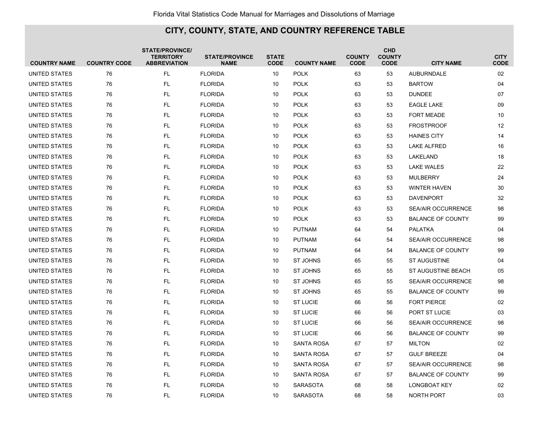| <b>COUNTRY NAME</b> | <b>COUNTRY CODE</b> | <b>STATE/PROVINCE/</b><br><b>TERRITORY</b><br><b>ABBREVIATION</b> | <b>STATE/PROVINCE</b><br><b>NAME</b> | <b>STATE</b><br><b>CODE</b> | <b>COUNTY NAME</b> | <b>COUNTY</b><br><b>CODE</b> | <b>CHD</b><br><b>COUNTY</b><br><b>CODE</b> | <b>CITY NAME</b>          | <b>CITY</b><br><b>CODE</b> |
|---------------------|---------------------|-------------------------------------------------------------------|--------------------------------------|-----------------------------|--------------------|------------------------------|--------------------------------------------|---------------------------|----------------------------|
| UNITED STATES       | 76                  | <b>FL</b>                                                         | <b>FLORIDA</b>                       | 10                          | <b>POLK</b>        | 63                           | 53                                         | <b>AUBURNDALE</b>         | 02                         |
| UNITED STATES       | 76                  | <b>FL</b>                                                         | <b>FLORIDA</b>                       | 10                          | <b>POLK</b>        | 63                           | 53                                         | <b>BARTOW</b>             | 04                         |
| UNITED STATES       | 76                  | <b>FL</b>                                                         | <b>FLORIDA</b>                       | 10                          | <b>POLK</b>        | 63                           | 53                                         | <b>DUNDEE</b>             | 07                         |
| UNITED STATES       | 76                  | <b>FL</b>                                                         | <b>FLORIDA</b>                       | 10                          | <b>POLK</b>        | 63                           | 53                                         | <b>EAGLE LAKE</b>         | 09                         |
| UNITED STATES       | 76                  | <b>FL</b>                                                         | <b>FLORIDA</b>                       | 10                          | <b>POLK</b>        | 63                           | 53                                         | <b>FORT MEADE</b>         | 10                         |
| UNITED STATES       | 76                  | <b>FL</b>                                                         | <b>FLORIDA</b>                       | 10                          | <b>POLK</b>        | 63                           | 53                                         | <b>FROSTPROOF</b>         | 12                         |
| UNITED STATES       | 76                  | FL                                                                | <b>FLORIDA</b>                       | 10                          | <b>POLK</b>        | 63                           | 53                                         | <b>HAINES CITY</b>        | 14                         |
| UNITED STATES       | 76                  | <b>FL</b>                                                         | <b>FLORIDA</b>                       | 10                          | <b>POLK</b>        | 63                           | 53                                         | <b>LAKE ALFRED</b>        | 16                         |
| UNITED STATES       | 76                  | <b>FL</b>                                                         | <b>FLORIDA</b>                       | 10                          | <b>POLK</b>        | 63                           | 53                                         | LAKELAND                  | 18                         |
| UNITED STATES       | 76                  | <b>FL</b>                                                         | <b>FLORIDA</b>                       | 10                          | <b>POLK</b>        | 63                           | 53                                         | <b>LAKE WALES</b>         | 22                         |
| UNITED STATES       | 76                  | <b>FL</b>                                                         | <b>FLORIDA</b>                       | 10                          | <b>POLK</b>        | 63                           | 53                                         | <b>MULBERRY</b>           | 24                         |
| UNITED STATES       | 76                  | <b>FL</b>                                                         | <b>FLORIDA</b>                       | 10                          | <b>POLK</b>        | 63                           | 53                                         | <b>WINTER HAVEN</b>       | 30                         |
| UNITED STATES       | 76                  | <b>FL</b>                                                         | <b>FLORIDA</b>                       | 10                          | <b>POLK</b>        | 63                           | 53                                         | <b>DAVENPORT</b>          | 32                         |
| UNITED STATES       | 76                  | <b>FL</b>                                                         | <b>FLORIDA</b>                       | 10                          | <b>POLK</b>        | 63                           | 53                                         | <b>SEA/AIR OCCURRENCE</b> | 98                         |
| UNITED STATES       | 76                  | <b>FL</b>                                                         | <b>FLORIDA</b>                       | 10                          | <b>POLK</b>        | 63                           | 53                                         | <b>BALANCE OF COUNTY</b>  | 99                         |
| UNITED STATES       | 76                  | <b>FL</b>                                                         | <b>FLORIDA</b>                       | 10                          | <b>PUTNAM</b>      | 64                           | 54                                         | <b>PALATKA</b>            | 04                         |
| UNITED STATES       | 76                  | <b>FL</b>                                                         | <b>FLORIDA</b>                       | 10                          | <b>PUTNAM</b>      | 64                           | 54                                         | <b>SEA/AIR OCCURRENCE</b> | 98                         |
| UNITED STATES       | 76                  | <b>FL</b>                                                         | <b>FLORIDA</b>                       | 10                          | <b>PUTNAM</b>      | 64                           | 54                                         | <b>BALANCE OF COUNTY</b>  | 99                         |
| UNITED STATES       | 76                  | <b>FL</b>                                                         | <b>FLORIDA</b>                       | 10                          | <b>ST JOHNS</b>    | 65                           | 55                                         | <b>ST AUGUSTINE</b>       | 04                         |
| UNITED STATES       | 76                  | <b>FL</b>                                                         | <b>FLORIDA</b>                       | 10                          | <b>ST JOHNS</b>    | 65                           | 55                                         | ST AUGUSTINE BEACH        | 05                         |
| UNITED STATES       | 76                  | <b>FL</b>                                                         | <b>FLORIDA</b>                       | 10                          | ST JOHNS           | 65                           | 55                                         | <b>SEA/AIR OCCURRENCE</b> | 98                         |
| UNITED STATES       | 76                  | <b>FL</b>                                                         | <b>FLORIDA</b>                       | 10                          | <b>ST JOHNS</b>    | 65                           | 55                                         | <b>BALANCE OF COUNTY</b>  | 99                         |
| UNITED STATES       | 76                  | <b>FL</b>                                                         | <b>FLORIDA</b>                       | 10                          | <b>ST LUCIE</b>    | 66                           | 56                                         | <b>FORT PIERCE</b>        | 02                         |
| UNITED STATES       | 76                  | <b>FL</b>                                                         | <b>FLORIDA</b>                       | 10                          | <b>ST LUCIE</b>    | 66                           | 56                                         | PORT ST LUCIE             | 03                         |
| UNITED STATES       | 76                  | <b>FL</b>                                                         | <b>FLORIDA</b>                       | 10                          | <b>ST LUCIE</b>    | 66                           | 56                                         | <b>SEA/AIR OCCURRENCE</b> | 98                         |
| UNITED STATES       | 76                  | <b>FL</b>                                                         | <b>FLORIDA</b>                       | 10                          | <b>ST LUCIE</b>    | 66                           | 56                                         | <b>BALANCE OF COUNTY</b>  | 99                         |
| UNITED STATES       | 76                  | <b>FL</b>                                                         | <b>FLORIDA</b>                       | 10                          | <b>SANTA ROSA</b>  | 67                           | 57                                         | <b>MILTON</b>             | 02                         |
| UNITED STATES       | 76                  | <b>FL</b>                                                         | <b>FLORIDA</b>                       | 10                          | SANTA ROSA         | 67                           | 57                                         | <b>GULF BREEZE</b>        | 04                         |
| UNITED STATES       | 76                  | <b>FL</b>                                                         | <b>FLORIDA</b>                       | 10                          | <b>SANTA ROSA</b>  | 67                           | 57                                         | <b>SEA/AIR OCCURRENCE</b> | 98                         |
| UNITED STATES       | 76                  | <b>FL</b>                                                         | <b>FLORIDA</b>                       | 10                          | <b>SANTA ROSA</b>  | 67                           | 57                                         | <b>BALANCE OF COUNTY</b>  | 99                         |
| UNITED STATES       | 76                  | <b>FL</b>                                                         | <b>FLORIDA</b>                       | 10                          | <b>SARASOTA</b>    | 68                           | 58                                         | LONGBOAT KEY              | 02                         |
| UNITED STATES       | 76                  | FL.                                                               | <b>FLORIDA</b>                       | 10                          | <b>SARASOTA</b>    | 68                           | 58                                         | <b>NORTH PORT</b>         | 03                         |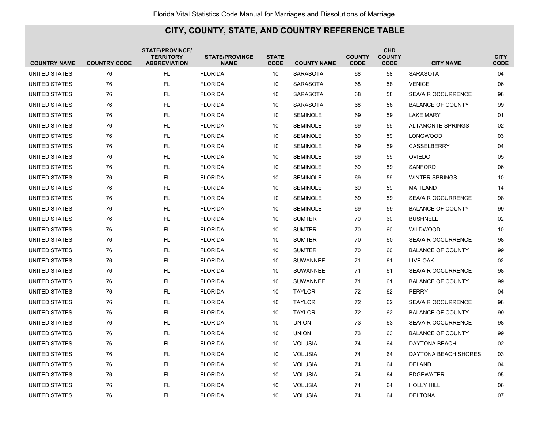| <b>COUNTRY NAME</b>  | <b>COUNTRY CODE</b> | <b>STATE/PROVINCE/</b><br><b>TERRITORY</b><br><b>ABBREVIATION</b> | <b>STATE/PROVINCE</b><br><b>NAME</b> | <b>STATE</b><br><b>CODE</b> | <b>COUNTY NAME</b> | <b>COUNTY</b><br><b>CODE</b> | <b>CHD</b><br><b>COUNTY</b><br><b>CODE</b> | <b>CITY NAME</b>          | <b>CITY</b><br><b>CODE</b> |
|----------------------|---------------------|-------------------------------------------------------------------|--------------------------------------|-----------------------------|--------------------|------------------------------|--------------------------------------------|---------------------------|----------------------------|
| UNITED STATES        | 76                  | <b>FL</b>                                                         | <b>FLORIDA</b>                       | 10                          | <b>SARASOTA</b>    | 68                           | 58                                         | <b>SARASOTA</b>           | 04                         |
| UNITED STATES        | 76                  | <b>FL</b>                                                         | <b>FLORIDA</b>                       | 10                          | <b>SARASOTA</b>    | 68                           | 58                                         | <b>VENICE</b>             | 06                         |
| UNITED STATES        | 76                  | FL                                                                | <b>FLORIDA</b>                       | 10                          | <b>SARASOTA</b>    | 68                           | 58                                         | <b>SEA/AIR OCCURRENCE</b> | 98                         |
| UNITED STATES        | 76                  | <b>FL</b>                                                         | <b>FLORIDA</b>                       | 10                          | <b>SARASOTA</b>    | 68                           | 58                                         | <b>BALANCE OF COUNTY</b>  | 99                         |
| UNITED STATES        | 76                  | <b>FL</b>                                                         | <b>FLORIDA</b>                       | 10                          | <b>SEMINOLE</b>    | 69                           | 59                                         | <b>LAKE MARY</b>          | 01                         |
| UNITED STATES        | 76                  | <b>FL</b>                                                         | <b>FLORIDA</b>                       | 10                          | <b>SEMINOLE</b>    | 69                           | 59                                         | <b>ALTAMONTE SPRINGS</b>  | 02                         |
| <b>UNITED STATES</b> | 76                  | <b>FL</b>                                                         | <b>FLORIDA</b>                       | 10                          | <b>SEMINOLE</b>    | 69                           | 59                                         | <b>LONGWOOD</b>           | 03                         |
| UNITED STATES        | 76                  | <b>FL</b>                                                         | <b>FLORIDA</b>                       | 10                          | <b>SEMINOLE</b>    | 69                           | 59                                         | <b>CASSELBERRY</b>        | 04                         |
| UNITED STATES        | 76                  | <b>FL</b>                                                         | <b>FLORIDA</b>                       | 10                          | <b>SEMINOLE</b>    | 69                           | 59                                         | <b>OVIEDO</b>             | 05                         |
| UNITED STATES        | 76                  | <b>FL</b>                                                         | <b>FLORIDA</b>                       | 10                          | <b>SEMINOLE</b>    | 69                           | 59                                         | <b>SANFORD</b>            | 06                         |
| UNITED STATES        | 76                  | <b>FL</b>                                                         | <b>FLORIDA</b>                       | 10                          | <b>SEMINOLE</b>    | 69                           | 59                                         | <b>WINTER SPRINGS</b>     | 10                         |
| UNITED STATES        | 76                  | <b>FL</b>                                                         | <b>FLORIDA</b>                       | 10                          | <b>SEMINOLE</b>    | 69                           | 59                                         | MAITLAND                  | 14                         |
| UNITED STATES        | 76                  | <b>FL</b>                                                         | <b>FLORIDA</b>                       | 10                          | <b>SEMINOLE</b>    | 69                           | 59                                         | <b>SEA/AIR OCCURRENCE</b> | 98                         |
| UNITED STATES        | 76                  | <b>FL</b>                                                         | <b>FLORIDA</b>                       | 10                          | <b>SEMINOLE</b>    | 69                           | 59                                         | <b>BALANCE OF COUNTY</b>  | 99                         |
| UNITED STATES        | 76                  | <b>FL</b>                                                         | <b>FLORIDA</b>                       | 10                          | <b>SUMTER</b>      | 70                           | 60                                         | <b>BUSHNELL</b>           | 02                         |
| UNITED STATES        | 76                  | <b>FL</b>                                                         | <b>FLORIDA</b>                       | 10                          | <b>SUMTER</b>      | 70                           | 60                                         | <b>WILDWOOD</b>           | 10                         |
| UNITED STATES        | 76                  | <b>FL</b>                                                         | <b>FLORIDA</b>                       | 10                          | <b>SUMTER</b>      | 70                           | 60                                         | <b>SEA/AIR OCCURRENCE</b> | 98                         |
| UNITED STATES        | 76                  | <b>FL</b>                                                         | <b>FLORIDA</b>                       | 10                          | <b>SUMTER</b>      | 70                           | 60                                         | <b>BALANCE OF COUNTY</b>  | 99                         |
| UNITED STATES        | 76                  | <b>FL</b>                                                         | <b>FLORIDA</b>                       | 10                          | <b>SUWANNEE</b>    | 71                           | 61                                         | LIVE OAK                  | 02                         |
| UNITED STATES        | 76                  | <b>FL</b>                                                         | <b>FLORIDA</b>                       | 10                          | <b>SUWANNEE</b>    | 71                           | 61                                         | <b>SEA/AIR OCCURRENCE</b> | 98                         |
| UNITED STATES        | 76                  | FL                                                                | <b>FLORIDA</b>                       | 10                          | SUWANNEE           | 71                           | 61                                         | <b>BALANCE OF COUNTY</b>  | 99                         |
| UNITED STATES        | 76                  | <b>FL</b>                                                         | <b>FLORIDA</b>                       | 10                          | <b>TAYLOR</b>      | 72                           | 62                                         | <b>PERRY</b>              | 04                         |
| UNITED STATES        | 76                  | <b>FL</b>                                                         | <b>FLORIDA</b>                       | 10                          | <b>TAYLOR</b>      | 72                           | 62                                         | <b>SEA/AIR OCCURRENCE</b> | 98                         |
| UNITED STATES        | 76                  | <b>FL</b>                                                         | <b>FLORIDA</b>                       | 10                          | <b>TAYLOR</b>      | 72                           | 62                                         | <b>BALANCE OF COUNTY</b>  | 99                         |
| <b>UNITED STATES</b> | 76                  | <b>FL</b>                                                         | <b>FLORIDA</b>                       | 10                          | <b>UNION</b>       | 73                           | 63                                         | <b>SEA/AIR OCCURRENCE</b> | 98                         |
| UNITED STATES        | 76                  | <b>FL</b>                                                         | <b>FLORIDA</b>                       | 10                          | <b>UNION</b>       | 73                           | 63                                         | <b>BALANCE OF COUNTY</b>  | 99                         |
| UNITED STATES        | 76                  | <b>FL</b>                                                         | <b>FLORIDA</b>                       | 10                          | <b>VOLUSIA</b>     | 74                           | 64                                         | DAYTONA BEACH             | 02                         |
| UNITED STATES        | 76                  | <b>FL</b>                                                         | <b>FLORIDA</b>                       | 10                          | <b>VOLUSIA</b>     | 74                           | 64                                         | DAYTONA BEACH SHORES      | 03                         |
| UNITED STATES        | 76                  | <b>FL</b>                                                         | <b>FLORIDA</b>                       | 10                          | <b>VOLUSIA</b>     | 74                           | 64                                         | <b>DELAND</b>             | 04                         |
| UNITED STATES        | 76                  | <b>FL</b>                                                         | <b>FLORIDA</b>                       | 10                          | <b>VOLUSIA</b>     | 74                           | 64                                         | <b>EDGEWATER</b>          | 05                         |
| UNITED STATES        | 76                  | <b>FL</b>                                                         | <b>FLORIDA</b>                       | 10                          | <b>VOLUSIA</b>     | 74                           | 64                                         | <b>HOLLY HILL</b>         | 06                         |
| UNITED STATES        | 76                  | FL.                                                               | <b>FLORIDA</b>                       | 10                          | <b>VOLUSIA</b>     | 74                           | 64                                         | <b>DELTONA</b>            | 07                         |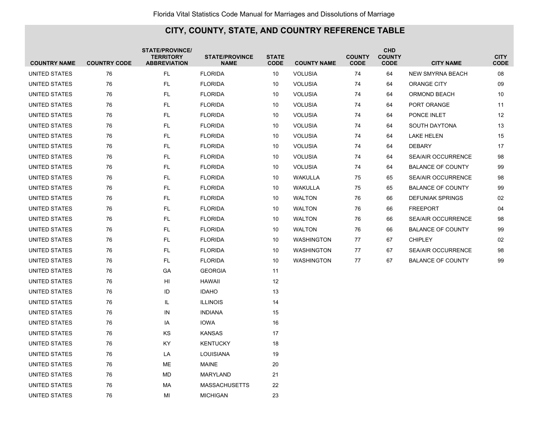| <b>COUNTRY NAME</b>  | <b>COUNTRY CODE</b> | <b>STATE/PROVINCE/</b><br><b>TERRITORY</b><br><b>ABBREVIATION</b> | <b>STATE/PROVINCE</b><br><b>NAME</b> | <b>STATE</b><br><b>CODE</b> | <b>COUNTY NAME</b> | <b>COUNTY</b><br><b>CODE</b> | <b>CHD</b><br><b>COUNTY</b><br><b>CODE</b> | <b>CITY NAME</b>          | <b>CITY</b><br><b>CODE</b> |
|----------------------|---------------------|-------------------------------------------------------------------|--------------------------------------|-----------------------------|--------------------|------------------------------|--------------------------------------------|---------------------------|----------------------------|
| <b>UNITED STATES</b> | 76                  | <b>FL</b>                                                         | <b>FLORIDA</b>                       | 10                          | <b>VOLUSIA</b>     | 74                           | 64                                         | <b>NEW SMYRNA BEACH</b>   | 08                         |
| <b>UNITED STATES</b> | 76                  | <b>FL</b>                                                         | <b>FLORIDA</b>                       | 10                          | <b>VOLUSIA</b>     | 74                           | 64                                         | ORANGE CITY               | 09                         |
| UNITED STATES        | 76                  | FL.                                                               | <b>FLORIDA</b>                       | 10                          | <b>VOLUSIA</b>     | 74                           | 64                                         | ORMOND BEACH              | 10                         |
| UNITED STATES        | 76                  | FL.                                                               | <b>FLORIDA</b>                       | 10                          | <b>VOLUSIA</b>     | 74                           | 64                                         | PORT ORANGE               | 11                         |
| UNITED STATES        | 76                  | FL.                                                               | <b>FLORIDA</b>                       | 10                          | <b>VOLUSIA</b>     | 74                           | 64                                         | PONCE INLET               | $12 \overline{ }$          |
| UNITED STATES        | 76                  | FL.                                                               | <b>FLORIDA</b>                       | 10                          | <b>VOLUSIA</b>     | 74                           | 64                                         | <b>SOUTH DAYTONA</b>      | 13                         |
| UNITED STATES        | 76                  | FL.                                                               | <b>FLORIDA</b>                       | 10                          | <b>VOLUSIA</b>     | 74                           | 64                                         | <b>LAKE HELEN</b>         | 15                         |
| UNITED STATES        | 76                  | FL.                                                               | <b>FLORIDA</b>                       | 10                          | <b>VOLUSIA</b>     | 74                           | 64                                         | <b>DEBARY</b>             | 17                         |
| UNITED STATES        | 76                  | FL.                                                               | <b>FLORIDA</b>                       | 10                          | <b>VOLUSIA</b>     | 74                           | 64                                         | <b>SEA/AIR OCCURRENCE</b> | 98                         |
| UNITED STATES        | 76                  | FL                                                                | <b>FLORIDA</b>                       | 10                          | <b>VOLUSIA</b>     | 74                           | 64                                         | <b>BALANCE OF COUNTY</b>  | 99                         |
| UNITED STATES        | 76                  | FL                                                                | <b>FLORIDA</b>                       | 10                          | WAKULLA            | 75                           | 65                                         | <b>SEA/AIR OCCURRENCE</b> | 98                         |
| UNITED STATES        | 76                  | FL                                                                | <b>FLORIDA</b>                       | 10                          | WAKULLA            | 75                           | 65                                         | <b>BALANCE OF COUNTY</b>  | 99                         |
| UNITED STATES        | 76                  | FL                                                                | <b>FLORIDA</b>                       | 10                          | <b>WALTON</b>      | 76                           | 66                                         | <b>DEFUNIAK SPRINGS</b>   | 02                         |
| UNITED STATES        | 76                  | FL.                                                               | <b>FLORIDA</b>                       | 10                          | <b>WALTON</b>      | 76                           | 66                                         | <b>FREEPORT</b>           | 04                         |
| UNITED STATES        | 76                  | FL.                                                               | <b>FLORIDA</b>                       | 10                          | <b>WALTON</b>      | 76                           | 66                                         | <b>SEA/AIR OCCURRENCE</b> | 98                         |
| UNITED STATES        | 76                  | FL.                                                               | <b>FLORIDA</b>                       | 10                          | <b>WALTON</b>      | 76                           | 66                                         | <b>BALANCE OF COUNTY</b>  | 99                         |
| UNITED STATES        | 76                  | FL.                                                               | <b>FLORIDA</b>                       | 10                          | <b>WASHINGTON</b>  | 77                           | 67                                         | <b>CHIPLEY</b>            | 02                         |
| UNITED STATES        | 76                  | FL.                                                               | <b>FLORIDA</b>                       | 10                          | <b>WASHINGTON</b>  | 77                           | 67                                         | <b>SEA/AIR OCCURRENCE</b> | 98                         |
| UNITED STATES        | 76                  | FL.                                                               | <b>FLORIDA</b>                       | 10                          | <b>WASHINGTON</b>  | 77                           | 67                                         | <b>BALANCE OF COUNTY</b>  | 99                         |
| UNITED STATES        | 76                  | GA                                                                | <b>GEORGIA</b>                       | 11                          |                    |                              |                                            |                           |                            |
| UNITED STATES        | 76                  | HI                                                                | <b>HAWAII</b>                        | 12                          |                    |                              |                                            |                           |                            |
| UNITED STATES        | 76                  | ID                                                                | <b>IDAHO</b>                         | 13                          |                    |                              |                                            |                           |                            |
| <b>UNITED STATES</b> | 76                  | IL                                                                | <b>ILLINOIS</b>                      | 14                          |                    |                              |                                            |                           |                            |
| <b>UNITED STATES</b> | 76                  | IN                                                                | <b>INDIANA</b>                       | 15                          |                    |                              |                                            |                           |                            |
| UNITED STATES        | 76                  | IA                                                                | <b>IOWA</b>                          | 16                          |                    |                              |                                            |                           |                            |
| UNITED STATES        | 76                  | KS                                                                | <b>KANSAS</b>                        | 17                          |                    |                              |                                            |                           |                            |
| UNITED STATES        | 76                  | KY                                                                | <b>KENTUCKY</b>                      | 18                          |                    |                              |                                            |                           |                            |
| UNITED STATES        | 76                  | LA                                                                | <b>LOUISIANA</b>                     | 19                          |                    |                              |                                            |                           |                            |
| UNITED STATES        | 76                  | МE                                                                | <b>MAINE</b>                         | 20                          |                    |                              |                                            |                           |                            |
| UNITED STATES        | 76                  | MD                                                                | MARYLAND                             | 21                          |                    |                              |                                            |                           |                            |
| UNITED STATES        | 76                  | МA                                                                | <b>MASSACHUSETTS</b>                 | 22                          |                    |                              |                                            |                           |                            |
| <b>UNITED STATES</b> | 76                  | MI                                                                | <b>MICHIGAN</b>                      | 23                          |                    |                              |                                            |                           |                            |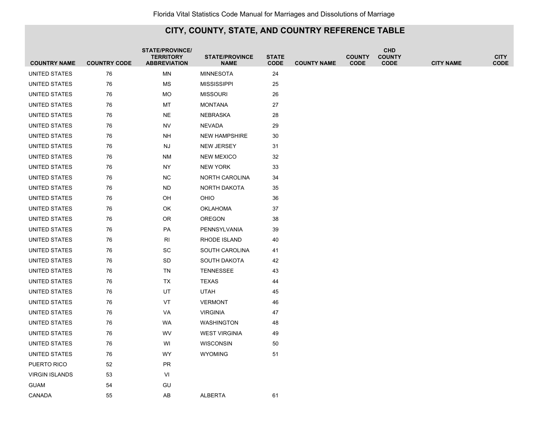|                                      | <b>COUNTRY CODE</b> | <b>STATE/PROVINCE/</b><br><b>TERRITORY</b><br><b>ABBREVIATION</b> | <b>STATE/PROVINCE</b>           | <b>STATE</b><br><b>CODE</b> |                    | <b>COUNTY</b><br><b>CODE</b> | <b>CHD</b><br><b>COUNTY</b><br><b>CODE</b> |                  | <b>CITY</b><br><b>CODE</b> |
|--------------------------------------|---------------------|-------------------------------------------------------------------|---------------------------------|-----------------------------|--------------------|------------------------------|--------------------------------------------|------------------|----------------------------|
| <b>COUNTRY NAME</b><br>UNITED STATES | 76                  | <b>MN</b>                                                         | <b>NAME</b><br><b>MINNESOTA</b> | 24                          | <b>COUNTY NAME</b> |                              |                                            | <b>CITY NAME</b> |                            |
| UNITED STATES                        | 76                  | ΜS                                                                | <b>MISSISSIPPI</b>              | 25                          |                    |                              |                                            |                  |                            |
| UNITED STATES                        | 76                  | MO                                                                | <b>MISSOURI</b>                 | 26                          |                    |                              |                                            |                  |                            |
| UNITED STATES                        | 76                  | MT                                                                | <b>MONTANA</b>                  | 27                          |                    |                              |                                            |                  |                            |
| UNITED STATES                        | 76                  | <b>NE</b>                                                         | <b>NEBRASKA</b>                 | 28                          |                    |                              |                                            |                  |                            |
| UNITED STATES                        | 76                  | <b>NV</b>                                                         | <b>NEVADA</b>                   | 29                          |                    |                              |                                            |                  |                            |
| UNITED STATES                        | 76                  | NΗ                                                                | <b>NEW HAMPSHIRE</b>            | 30                          |                    |                              |                                            |                  |                            |
| UNITED STATES                        | 76                  | <b>NJ</b>                                                         | NEW JERSEY                      | 31                          |                    |                              |                                            |                  |                            |
| UNITED STATES                        | 76                  | <b>NM</b>                                                         | <b>NEW MEXICO</b>               | 32                          |                    |                              |                                            |                  |                            |
| UNITED STATES                        | 76                  | NY                                                                | <b>NEW YORK</b>                 | 33                          |                    |                              |                                            |                  |                            |
| UNITED STATES                        | 76                  | <b>NC</b>                                                         | NORTH CAROLINA                  | 34                          |                    |                              |                                            |                  |                            |
| UNITED STATES                        | 76                  | <b>ND</b>                                                         | NORTH DAKOTA                    | 35                          |                    |                              |                                            |                  |                            |
| UNITED STATES                        | 76                  | OH                                                                | OHIO                            | 36                          |                    |                              |                                            |                  |                            |
| UNITED STATES                        | 76                  | OK                                                                | <b>OKLAHOMA</b>                 | 37                          |                    |                              |                                            |                  |                            |
| UNITED STATES                        | 76                  | 0R                                                                | <b>OREGON</b>                   | 38                          |                    |                              |                                            |                  |                            |
| UNITED STATES                        | 76                  | PA                                                                | PENNSYLVANIA                    | 39                          |                    |                              |                                            |                  |                            |
| UNITED STATES                        | 76                  | <b>RI</b>                                                         | RHODE ISLAND                    | 40                          |                    |                              |                                            |                  |                            |
| UNITED STATES                        | 76                  | SC                                                                | SOUTH CAROLINA                  | 41                          |                    |                              |                                            |                  |                            |
| UNITED STATES                        | 76                  | SD                                                                | <b>SOUTH DAKOTA</b>             | 42                          |                    |                              |                                            |                  |                            |
| UNITED STATES                        | 76                  | TN                                                                | <b>TENNESSEE</b>                | 43                          |                    |                              |                                            |                  |                            |
| UNITED STATES                        | 76                  | TX                                                                | <b>TEXAS</b>                    | 44                          |                    |                              |                                            |                  |                            |
| UNITED STATES                        | 76                  | UT                                                                | <b>UTAH</b>                     | 45                          |                    |                              |                                            |                  |                            |
| UNITED STATES                        | 76                  | VT                                                                | <b>VERMONT</b>                  | 46                          |                    |                              |                                            |                  |                            |
| UNITED STATES                        | 76                  | VA                                                                | <b>VIRGINIA</b>                 | 47                          |                    |                              |                                            |                  |                            |
| UNITED STATES                        | 76                  | WA                                                                | <b>WASHINGTON</b>               | 48                          |                    |                              |                                            |                  |                            |
| <b>UNITED STATES</b>                 | 76                  | WV                                                                | <b>WEST VIRGINIA</b>            | 49                          |                    |                              |                                            |                  |                            |
| UNITED STATES                        | 76                  | WI                                                                | <b>WISCONSIN</b>                | 50                          |                    |                              |                                            |                  |                            |
| UNITED STATES                        | 76                  | WY                                                                | <b>WYOMING</b>                  | 51                          |                    |                              |                                            |                  |                            |
| PUERTO RICO                          | 52                  | <b>PR</b>                                                         |                                 |                             |                    |                              |                                            |                  |                            |
| <b>VIRGIN ISLANDS</b>                | 53                  | VI                                                                |                                 |                             |                    |                              |                                            |                  |                            |
| <b>GUAM</b>                          | 54                  | GU                                                                |                                 |                             |                    |                              |                                            |                  |                            |
| CANADA                               | 55                  | AB                                                                | <b>ALBERTA</b>                  | 61                          |                    |                              |                                            |                  |                            |